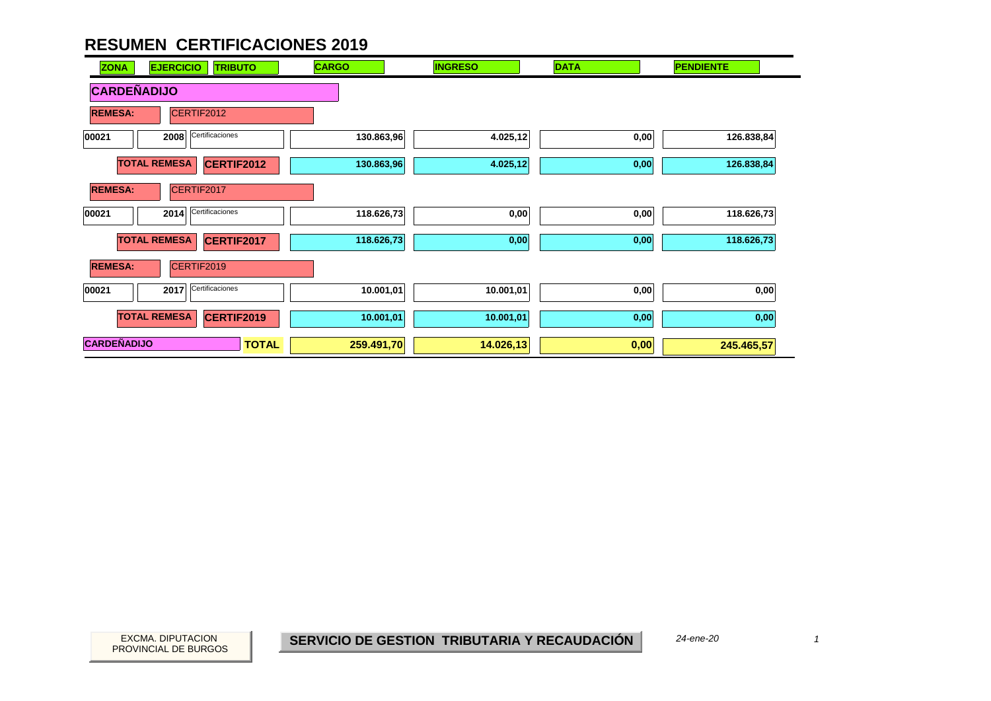| <b>EJERCICIO</b><br><b>TRIBUTO</b><br><b>ZONA</b> | <b>CARGO</b> | <b>INGRESO</b> | <b>DATA</b> | <b>PENDIENTE</b> |
|---------------------------------------------------|--------------|----------------|-------------|------------------|
| <b>CARDEÑADIJO</b>                                |              |                |             |                  |
| CERTIF2012<br><b>REMESA:</b>                      |              |                |             |                  |
| Certificaciones<br>2008<br>00021                  | 130.863,96   | 4.025,12       | 0,00        | 126.838,84       |
| <b>TOTAL REMESA</b><br>CERTIF2012                 | 130.863,96   | 4.025,12       | 0,00        | 126.838,84       |
| CERTIF2017<br><b>REMESA:</b>                      |              |                |             |                  |
| Certificaciones<br>00021<br>2014                  | 118.626,73   | 0,00           | 0,00        | 118.626,73       |
| <b>TOTAL REMESA</b><br>CERTIF2017                 | 118.626,73   | 0,00           | 0,00        | 118.626,73       |
| <b>REMESA:</b><br>CERTIF2019                      |              |                |             |                  |
| 2017 Certificaciones<br>00021                     | 10.001,01    | 10.001,01      | 0,00        | 0,00             |
| <b>TOTAL REMESA</b><br><b>CERTIF2019</b>          | 10.001,01    | 10.001,01      | 0,00        | 0,00             |
| <b>CARDEÑADIJO</b><br><b>TOTAL</b>                | 259.491,70   | 14.026,13      | 0,00        | 245.465,57       |

*24-ene-20*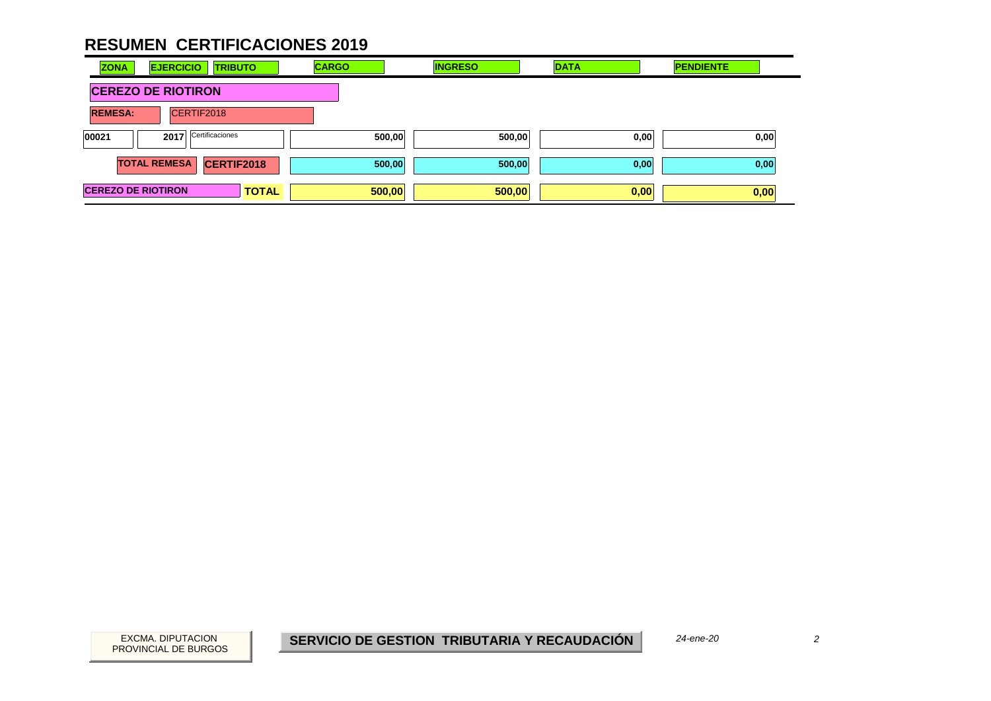| <b>ZONA</b>               | <b>EJERCICIO</b>    | <b>TRIBUTO</b>    | <b>CARGO</b> | <b>INGRESO</b> |        | <b>DATA</b> | <b>PENDIENTE</b> |  |
|---------------------------|---------------------|-------------------|--------------|----------------|--------|-------------|------------------|--|
| <b>CEREZO DE RIOTIRON</b> |                     |                   |              |                |        |             |                  |  |
| <b>REMESA:</b>            |                     | CERTIF2018        |              |                |        |             |                  |  |
| 00021                     | 2017                | Certificaciones   |              | 500,00         | 500,00 | 0,00        | 0,00             |  |
|                           | <b>TOTAL REMESA</b> | <b>CERTIF2018</b> |              | 500,00         | 500,00 | 0,00        | 0,00             |  |
| <b>CEREZO DE RIOTIRON</b> |                     | <b>TOTAL</b>      |              | 500,00         | 500,00 | 0,00        | 0,00             |  |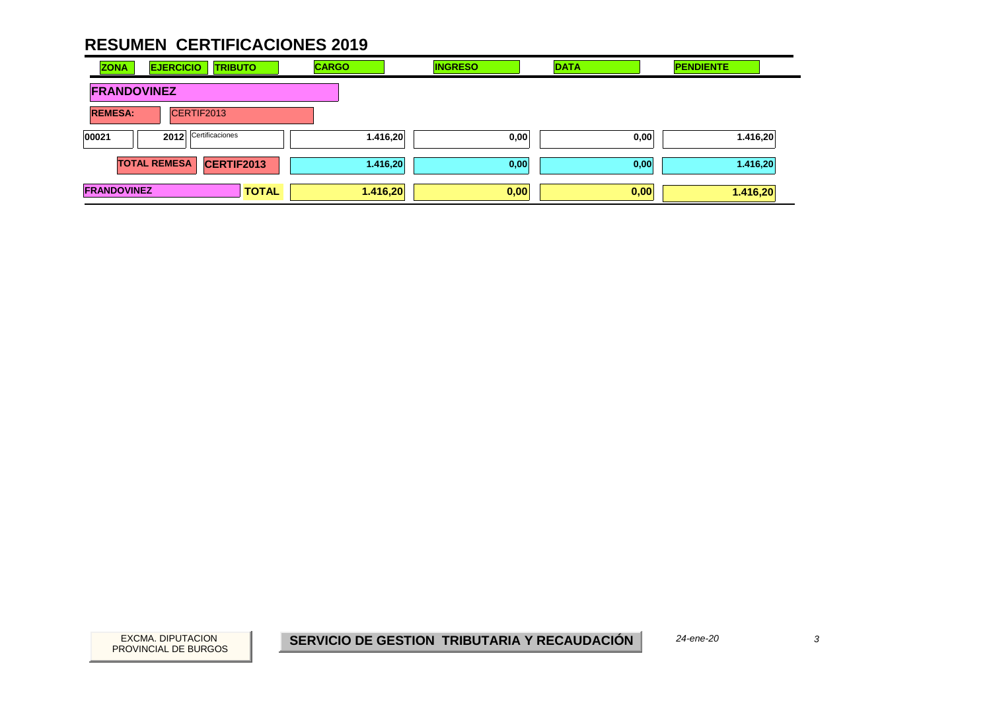| <b>ZONA</b>        | <b>EJERCICIO</b><br><b>TRIBUTO</b>       | <b>CARGO</b> | <b>INGRESO</b> | <b>DATA</b> | <b>PENDIENTE</b> |
|--------------------|------------------------------------------|--------------|----------------|-------------|------------------|
| <b>FRANDOVINEZ</b> |                                          |              |                |             |                  |
| <b>REMESA:</b>     | CERTIF2013                               |              |                |             |                  |
| 00021              | Certificaciones<br>2012                  | 1.416,20     | 0,00           | 0,00        | 1.416,20         |
|                    | <b>TOTAL REMESA</b><br><b>CERTIF2013</b> | 1.416,20     | 0,00           | 0,00        | 1.416,20         |
| <b>FRANDOVINEZ</b> | <b>TOTAL</b>                             | 1.416,20     | 0,00           | 0,00        | 1.416,20         |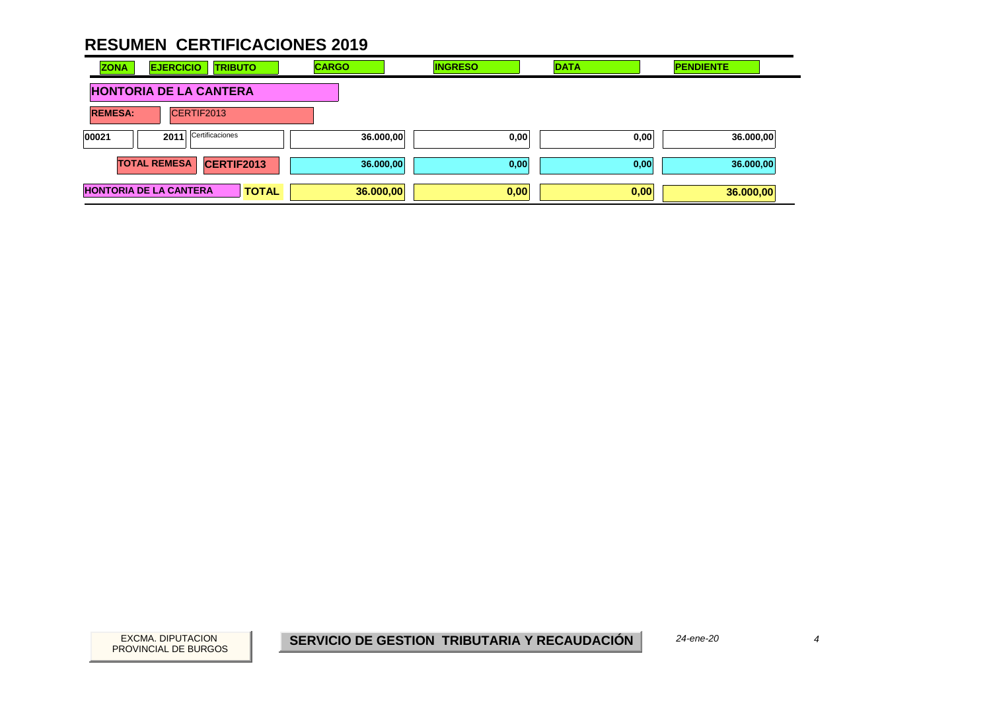| <b>ZONA</b>    | <b>EJERCICIO</b><br><b>TRIBUTO</b>            | <b>CARGO</b> | <b>INGRESO</b> | <b>DATA</b> | <b>PENDIENTE</b> |
|----------------|-----------------------------------------------|--------------|----------------|-------------|------------------|
|                | <b>HONTORIA DE LA CANTERA</b>                 |              |                |             |                  |
| <b>REMESA:</b> | CERTIF2013                                    |              |                |             |                  |
| 00021          | Certificaciones<br>2011                       | 36.000,00    | 0,00           | 0,00        | 36.000,00        |
|                | <b>TOTAL REMESA</b><br>CERTIF2013             | 36.000,00    | 0,00           | 0,00        | 36.000,00        |
|                | <b>HONTORIA DE LA CANTERA</b><br><b>TOTAL</b> | 36.000,00    | 0,00           | 0,00        | 36.000,00        |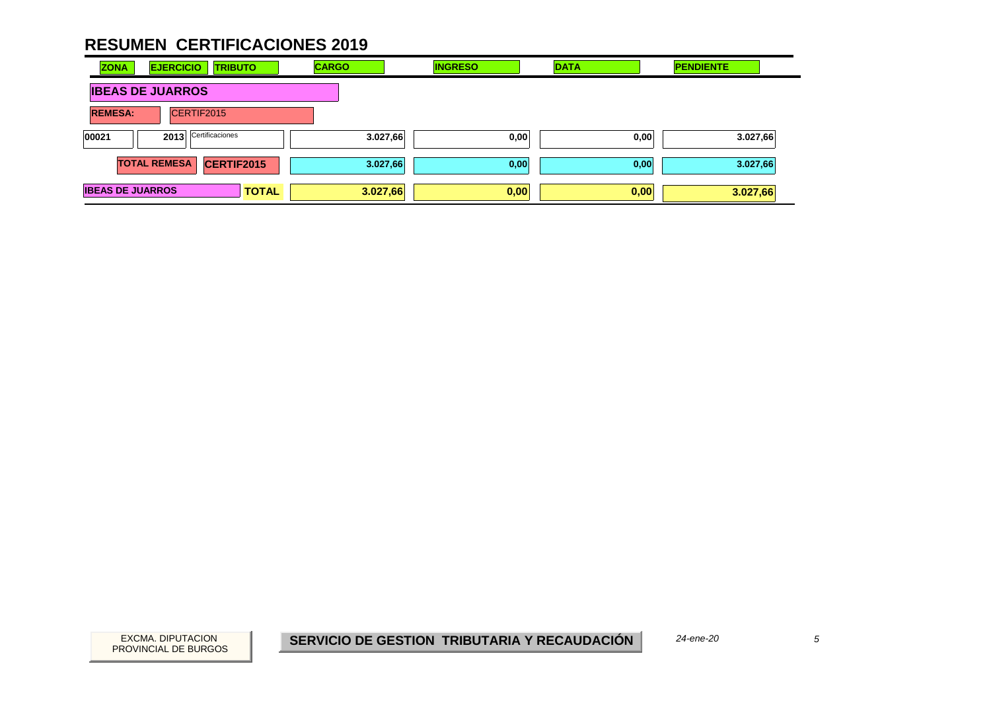| <b>ZONA</b>             | <b>EJERCICIO</b>        | <b>TRIBUTO</b>  | <b>CARGO</b> | <b>INGRESO</b> | <b>DATA</b> | <b>PENDIENTE</b> |
|-------------------------|-------------------------|-----------------|--------------|----------------|-------------|------------------|
|                         | <b>IBEAS DE JUARROS</b> |                 |              |                |             |                  |
| <b>REMESA:</b>          | CERTIF2015              |                 |              |                |             |                  |
| 00021                   | 2013                    | Certificaciones | 3.027,66     | 0,00           | 0,00        | 3.027,66         |
|                         | <b>TOTAL REMESA</b>     | CERTIF2015      | 3.027,66     | 0,00           | 0,00        | 3.027,66         |
| <b>IBEAS DE JUARROS</b> |                         | <b>TOTAL</b>    | 3.027,66     | 0,00           | 0,00        | 3.027,66         |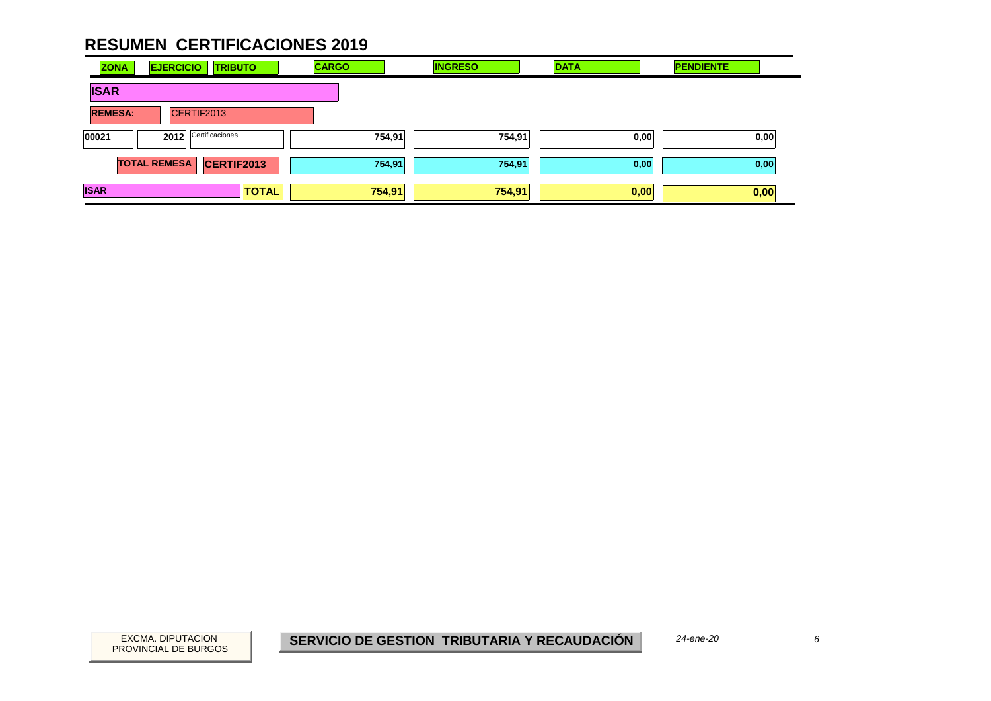| <b>ZONA</b>    | <b>EJERCICIO</b><br><b>TRIBUTO</b> | <b>CARGO</b> | <b>INGRESO</b> | <b>DATA</b> | <b>PENDIENTE</b> |
|----------------|------------------------------------|--------------|----------------|-------------|------------------|
| <b>ISAR</b>    |                                    |              |                |             |                  |
| <b>REMESA:</b> | CERTIF2013                         |              |                |             |                  |
| 00021          | Certificaciones<br>2012            | 754,91       | 754,91         | 0,00        | 0,00             |
|                | <b>TOTAL REMESA</b><br>CERTIF2013  | 754,91       | 754,91         | 0,00        | 0,00             |
| <b>ISAR</b>    | <b>TOTAL</b>                       | 754,91       | 754,91         | 0,00        | 0,00             |

EXCMA. DIPUTACION *6***SERVICIO DE GESTION TRIBUTARIA Y RECAUDACIÓN**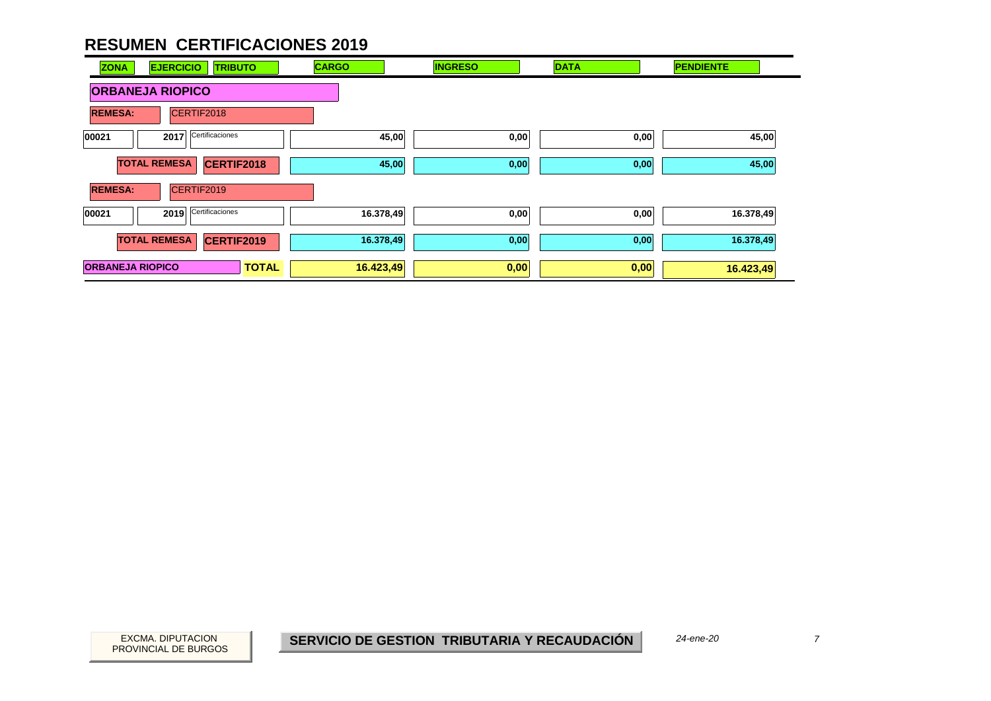

PROVINCIAL DE BURGOS

EXCMA. DIPUTACION *7***SERVICIO DE GESTION TRIBUTARIA Y RECAUDACIÓN**

*24-ene-20*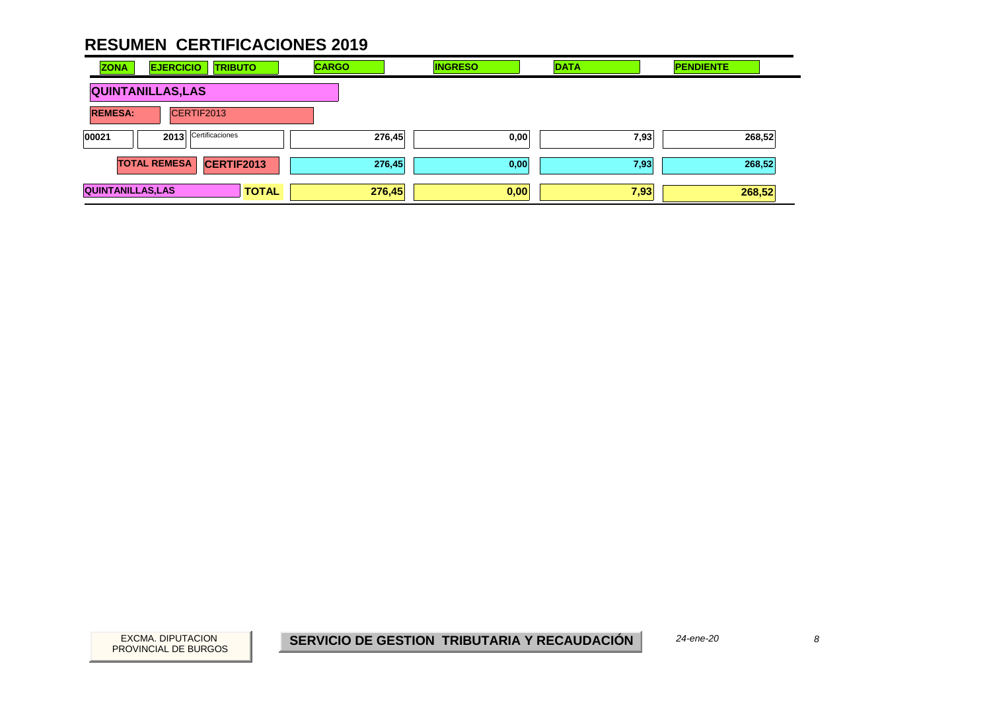| <b>ZONA</b>              | <b>EJERCICIO</b>    | <b>TRIBUTO</b>    | <b>CARGO</b> | <b>INGRESO</b> | <b>DATA</b> | <b>PENDIENTE</b> |
|--------------------------|---------------------|-------------------|--------------|----------------|-------------|------------------|
| <b>QUINTANILLAS, LAS</b> |                     |                   |              |                |             |                  |
| <b>REMESA:</b>           |                     | CERTIF2013        |              |                |             |                  |
| 00021                    | 2013                | Certificaciones   | 276,45       | 0,00           | 7,93        | 268,52           |
|                          | <b>TOTAL REMESA</b> | <b>CERTIF2013</b> | 276,45       | 0,00           | 7,93        | 268,52           |
| <b>QUINTANILLAS, LAS</b> |                     | <b>TOTAL</b>      | 276,45       | 0,00           | 7,93        | 268,52           |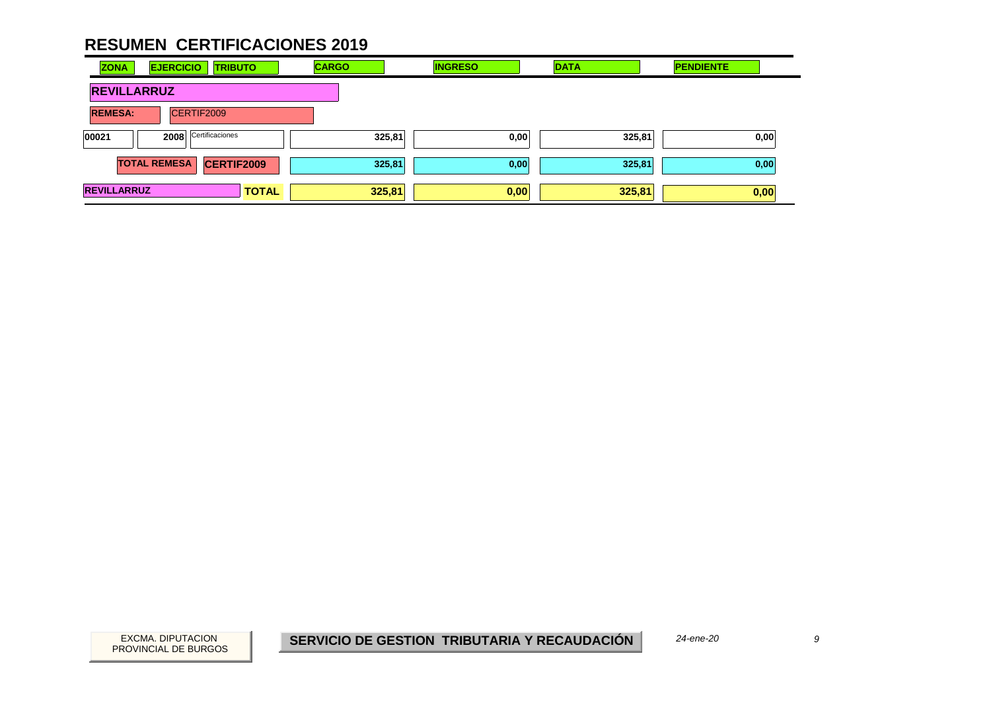| <b>ZONA</b>        | <b>EJERCICIO</b><br><b>TRIBUTO</b>       | <b>CARGO</b> | <b>INGRESO</b> | <b>DATA</b> | <b>PENDIENTE</b> |
|--------------------|------------------------------------------|--------------|----------------|-------------|------------------|
| <b>REVILLARRUZ</b> |                                          |              |                |             |                  |
| <b>REMESA:</b>     | CERTIF2009                               |              |                |             |                  |
| 00021              | Certificaciones<br>2008                  | 325,81       | 0,00           | 325,81      | 0,00             |
|                    | <b>CERTIF2009</b><br><b>TOTAL REMESA</b> | 325,81       | 0,00           | 325,81      | 0,00             |
| <b>REVILLARRUZ</b> | <b>TOTAL</b>                             | 325,81       | 0,00           | 325,81      | 0,00             |

EXCMA. DIPUTACION *9***SERVICIO DE GESTION TRIBUTARIA Y RECAUDACIÓN**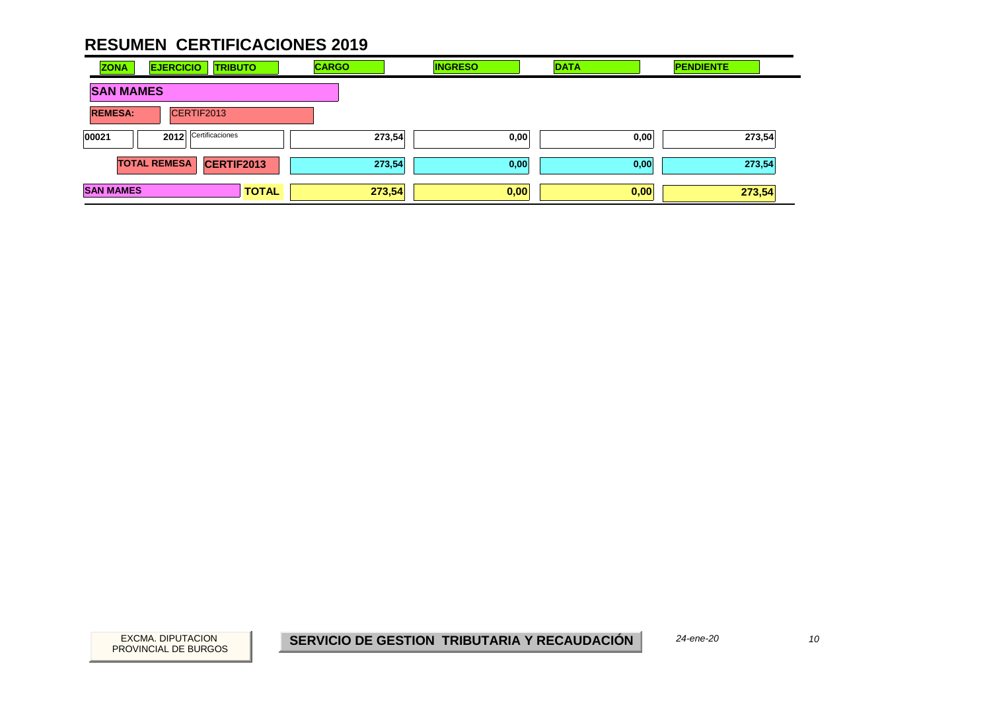| <b>ZONA</b>      | <b>EJERCICIO</b><br><b>TRIBUTO</b> | <b>CARGO</b> | <b>INGRESO</b> | <b>DATA</b> | <b>PENDIENTE</b> |
|------------------|------------------------------------|--------------|----------------|-------------|------------------|
| <b>SAN MAMES</b> |                                    |              |                |             |                  |
| <b>REMESA:</b>   | CERTIF2013                         |              |                |             |                  |
| 00021            | Certificaciones<br>2012            | 273,54       | 0,00           | 0,00        | 273,54           |
|                  | CERTIF2013<br><b>TOTAL REMESA</b>  | 273,54       | 0,00           | 0,00        | 273,54           |
| <b>SAN MAMES</b> | <b>TOTAL</b>                       | 273,54       | 0,00           | 0,00        | 273,54           |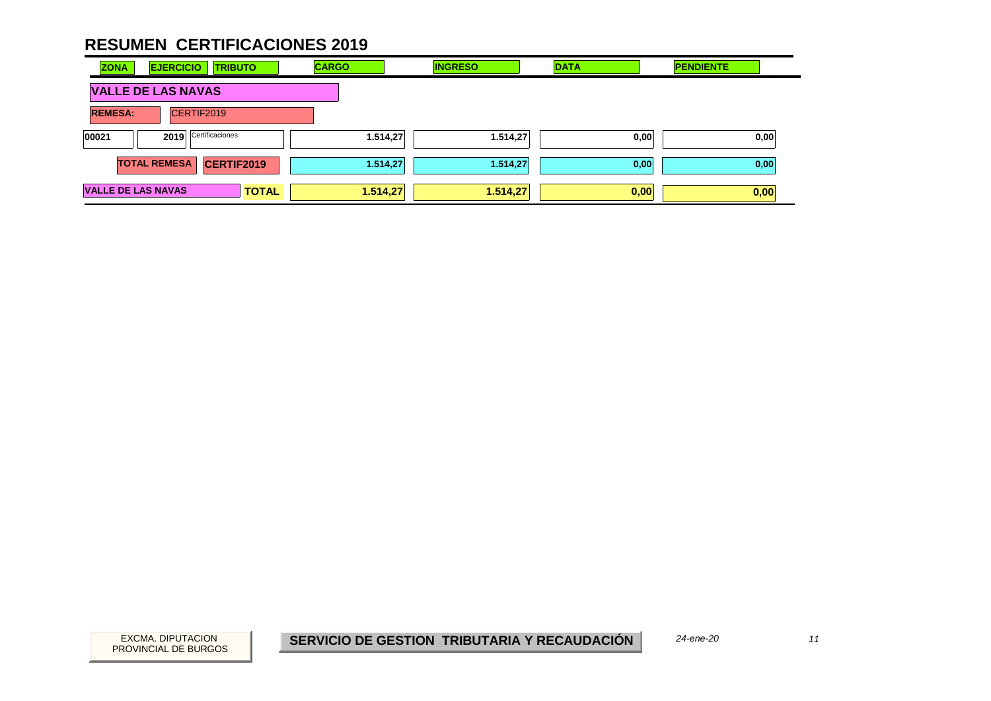| <b>ZONA</b>               | <b>EJERCICIO</b>    | <b>TRIBUTO</b>  | <b>CARGO</b> | <b>INGRESO</b> | <b>DATA</b> | <b>PENDIENTE</b> |
|---------------------------|---------------------|-----------------|--------------|----------------|-------------|------------------|
| <b>VALLE DE LAS NAVAS</b> |                     |                 |              |                |             |                  |
| <b>REMESA:</b>            | CERTIF2019          |                 |              |                |             |                  |
| 00021                     | 2019                | Certificaciones | 1.514,27     | 1.514,27       | 0,00        | 0,00             |
|                           | <b>TOTAL REMESA</b> | CERTIF2019      | 1.514,27     | 1.514,27       | 0,00        | 0,00             |
| <b>VALLE DE LAS NAVAS</b> |                     | <b>TOTAL</b>    | 1.514,27     | 1.514,27       | 0,00        | 0,00             |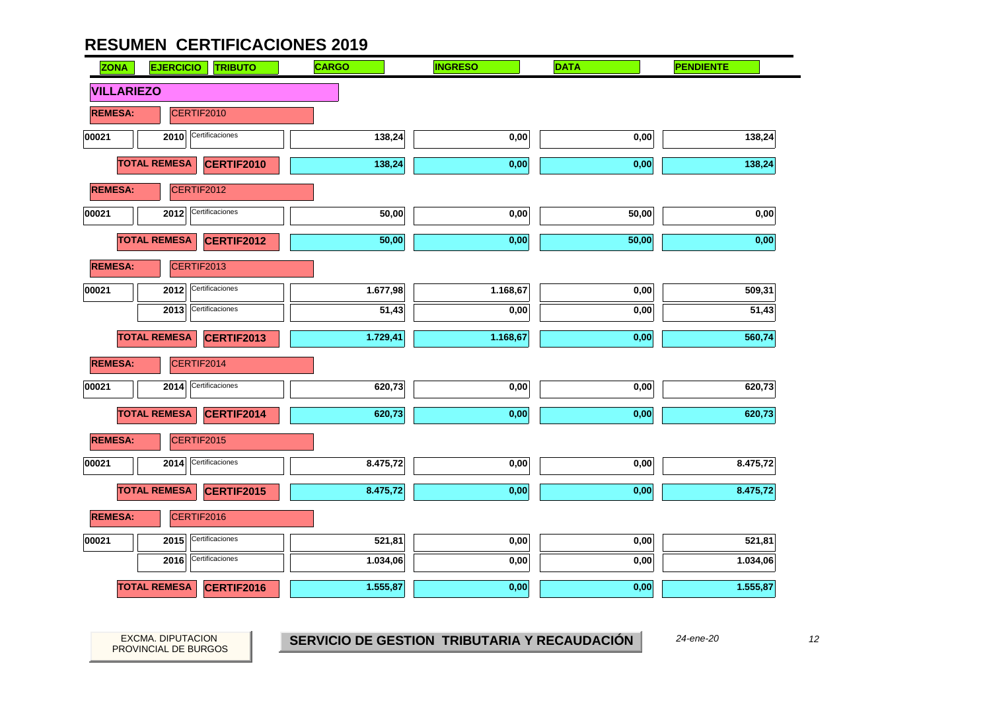

EXCMA. DIPUTACION *12***SERVICIO DE GESTION TRIBUTARIA Y RECAUDACIÓN**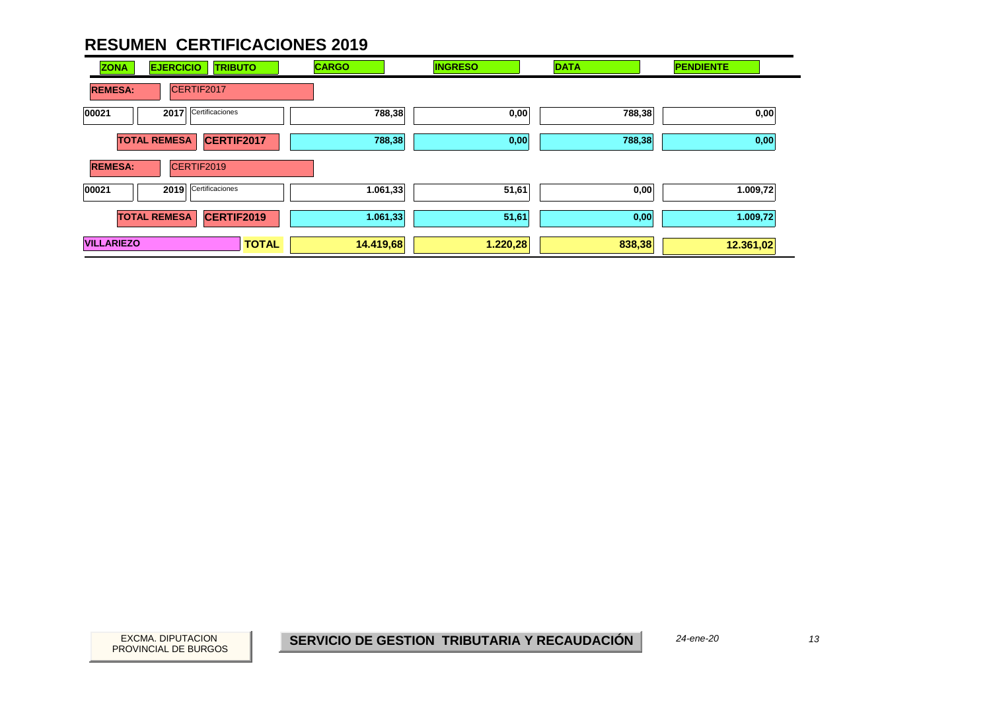| <b>ZONA</b>       | <b>EJERCICIO</b><br><b>TRIBUTO</b> | <b>CARGO</b> | <b>INGRESO</b> | <b>DATA</b> | <b>PENDIENTE</b> |
|-------------------|------------------------------------|--------------|----------------|-------------|------------------|
| <b>REMESA:</b>    | CERTIF2017                         |              |                |             |                  |
| 00021             | Certificaciones<br>2017            | 788,38       | 0,00           | 788,38      | 0,00             |
|                   | <b>TOTAL REMESA</b><br>CERTIF2017  | 788,38       | 0,00           | 788,38      | 0,00             |
| <b>REMESA:</b>    | CERTIF2019                         |              |                |             |                  |
| 00021             | Certificaciones<br>2019            | 1.061,33     | 51,61          | 0,00        | 1.009,72         |
|                   | <b>TOTAL REMESA</b><br>CERTIF2019  | 1.061,33     | 51,61          | 0,00        | 1.009,72         |
| <b>VILLARIEZO</b> | <b>TOTAL</b>                       | 14.419,68    | 1.220,28       | 838,38      | 12.361,02        |

*24-ene-20*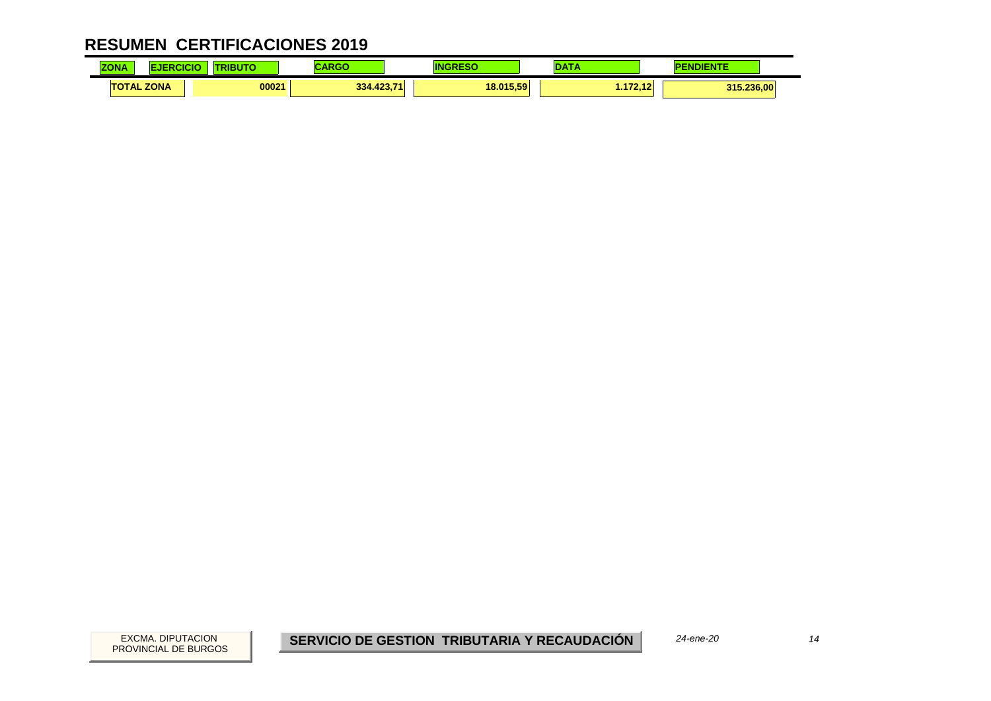| <b>ZONA</b> |                   | <b>STATISTICS</b> |                     |           |                | <b>A STORY</b> |
|-------------|-------------------|-------------------|---------------------|-----------|----------------|----------------|
|             | <b>TOTAL ZONA</b> | 00021             | 402.74<br>334.423,7 | 18.015.59 | $-479.49$<br>. | 315.236.00     |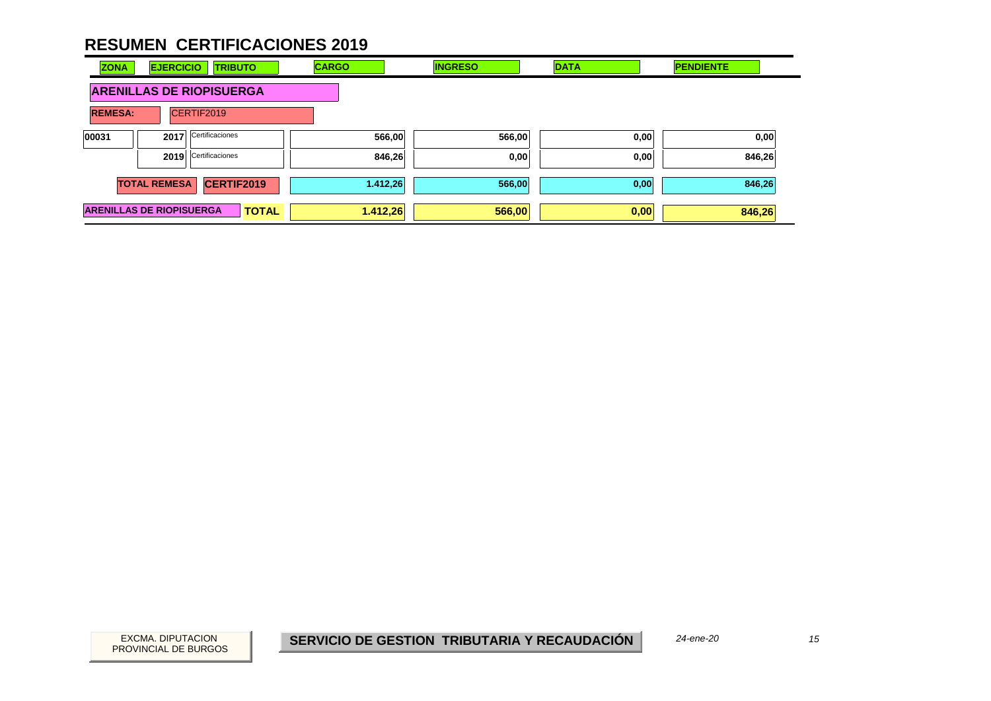| <b>ZONA</b>                     | <b>EJERCICIO</b>    | <b>TRIBUTO</b>  |              | <b>CARGO</b> |          | <b>INGRESO</b> | <b>DATA</b> |      | <b>PENDIENTE</b> |
|---------------------------------|---------------------|-----------------|--------------|--------------|----------|----------------|-------------|------|------------------|
| <b>ARENILLAS DE RIOPISUERGA</b> |                     |                 |              |              |          |                |             |      |                  |
| <b>REMESA:</b>                  |                     | CERTIF2019      |              |              |          |                |             |      |                  |
| 00031                           | 2017                | Certificaciones |              |              | 566,00   | 566,00         |             | 0,00 | 0,00             |
|                                 | 2019                | Certificaciones |              |              | 846,26   | 0,00           |             | 0,00 | 846,26           |
|                                 | <b>TOTAL REMESA</b> | CERTIF2019      |              |              | 1.412,26 | 566,00         |             | 0,00 | 846,26           |
| <b>ARENILLAS DE RIOPISUERGA</b> |                     |                 | <b>TOTAL</b> |              | 1.412,26 | 566,00         |             | 0,00 | 846,26           |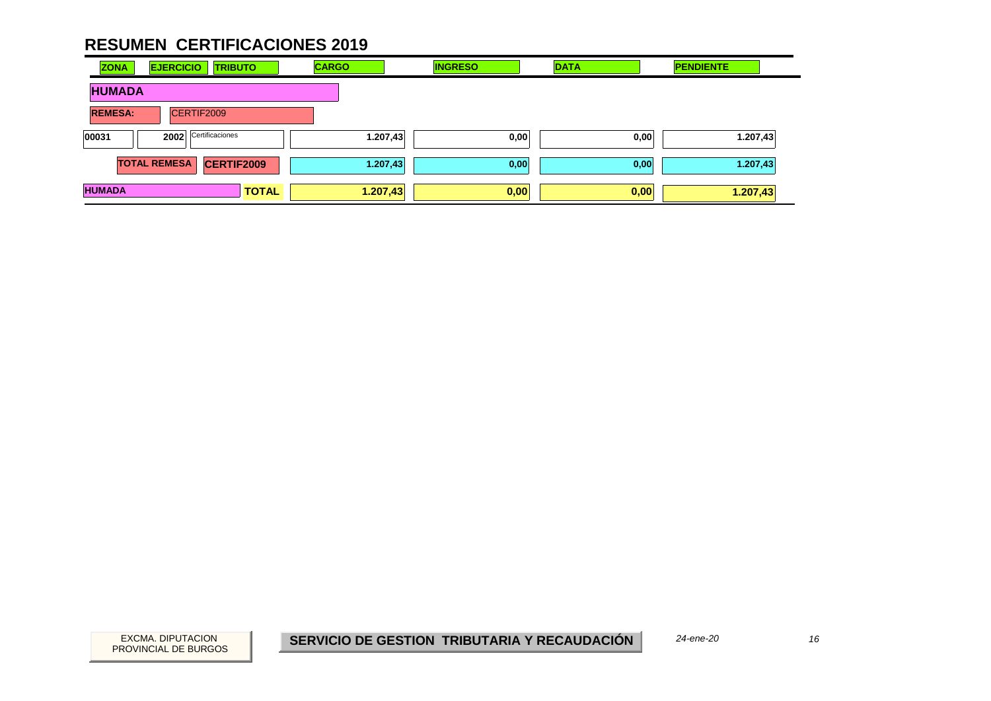| <b>ZONA</b>    | <b>EJERCICIO</b><br><b>TRIBUTO</b>       | <b>CARGO</b> | <b>INGRESO</b> | <b>DATA</b> | <b>PENDIENTE</b> |
|----------------|------------------------------------------|--------------|----------------|-------------|------------------|
| <b>HUMADA</b>  |                                          |              |                |             |                  |
| <b>REMESA:</b> | CERTIF2009                               |              |                |             |                  |
| 00031          | Certificaciones<br>2002                  | 1.207,43     | 0,00           | 0,00        | 1.207,43         |
|                | <b>CERTIF2009</b><br><b>TOTAL REMESA</b> | 1.207,43     | 0,00           | 0,00        | 1.207,43         |
| <b>HUMADA</b>  | <b>TOTAL</b>                             | 1.207,43     | 0,00           | 0,00        | 1.207,43         |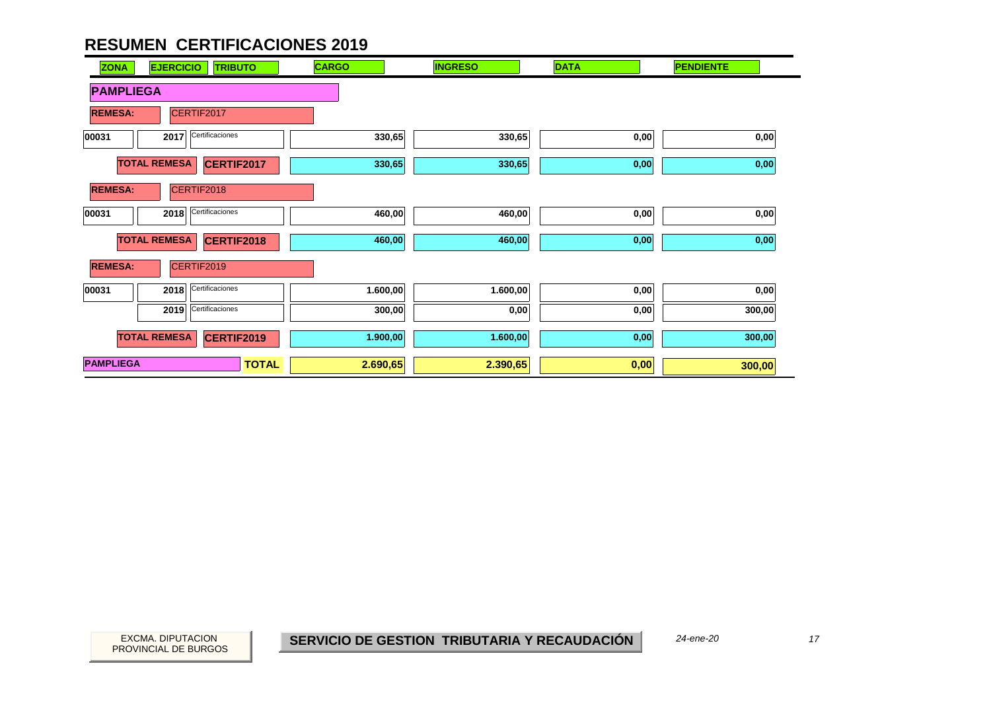| <b>ZONA</b><br><b>EJERCICIO</b><br><b>TRIBUTO</b> | <b>CARGO</b> | <b>INGRESO</b> | <b>DATA</b> | <b>PENDIENTE</b> |
|---------------------------------------------------|--------------|----------------|-------------|------------------|
| <b>PAMPLIEGA</b>                                  |              |                |             |                  |
| <b>REMESA:</b><br>CERTIF2017                      |              |                |             |                  |
| Certificaciones<br>00031<br>2017                  | 330,65       | 330,65         | 0,00        | 0,00             |
| <b>TOTAL REMESA</b><br>CERTIF2017                 | 330,65       | 330,65         | 0,00        | 0,00             |
| CERTIF2018<br><b>REMESA:</b>                      |              |                |             |                  |
| Certificaciones<br>00031<br>2018                  | 460,00       | 460,00         | 0,00        | 0,00             |
| <b>TOTAL REMESA</b><br><b>CERTIF2018</b>          | 460,00       | 460,00         | 0,00        | 0,00             |
| <b>REMESA:</b><br>CERTIF2019                      |              |                |             |                  |
| Certificaciones<br>00031<br>2018                  | 1.600,00     | 1.600,00       | 0,00        | 0,00             |
| Certificaciones<br>2019                           | 300,00       | 0,00           | 0,00        | 300,00           |
| <b>TOTAL REMESA</b><br><b>CERTIF2019</b>          | 1.900,00     | 1.600,00       | 0,00        | 300,00           |
| <b>PAMPLIEGA</b><br><b>TOTAL</b>                  | 2.690,65     | 2.390,65       | 0,00        | 300,00           |

 $\overline{\phantom{0}}$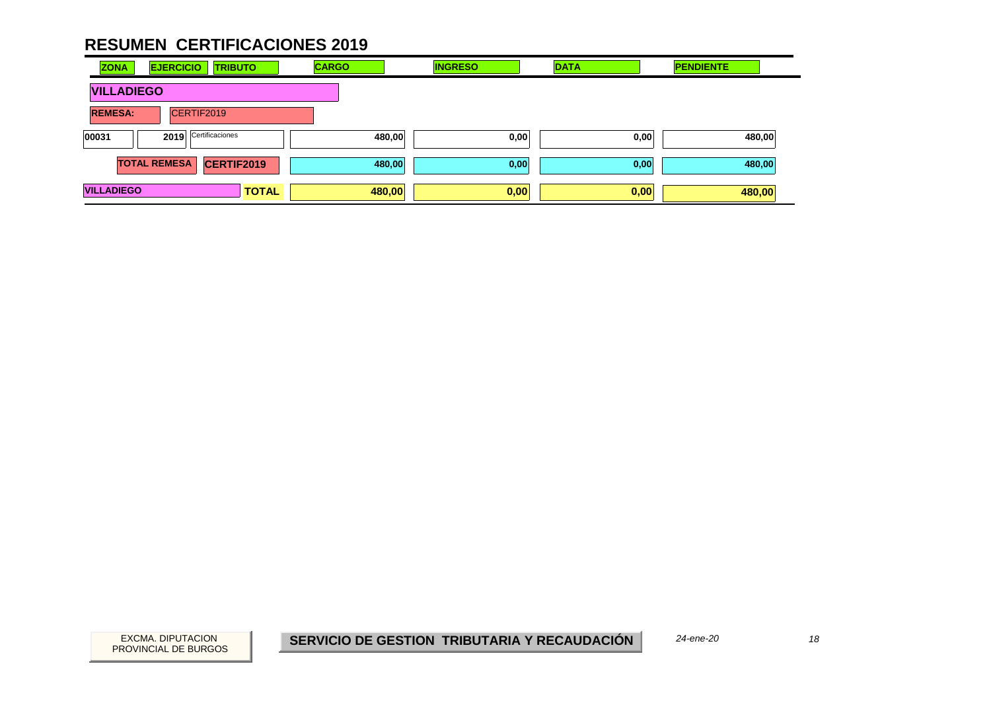| <b>ZONA</b>       | <b>EJERCICIO</b><br><b>TRIBUTO</b> | <b>CARGO</b> | <b>INGRESO</b> | <b>DATA</b> | <b>PENDIENTE</b> |
|-------------------|------------------------------------|--------------|----------------|-------------|------------------|
| <b>VILLADIEGO</b> |                                    |              |                |             |                  |
| <b>REMESA:</b>    | CERTIF2019                         |              |                |             |                  |
| 00031             | Certificaciones<br>2019            | 480,00       | 0,00           | 0,00        | 480,00           |
|                   | <b>TOTAL REMESA</b><br>CERTIF2019  | 480,00       | 0,00           | 0,00        | 480,00           |
| <b>VILLADIEGO</b> | <b>TOTAL</b>                       | 480,00       | 0,00           | 0,00        | 480,00           |

EXCMA. DIPUTACION *18***SERVICIO DE GESTION TRIBUTARIA Y RECAUDACIÓN**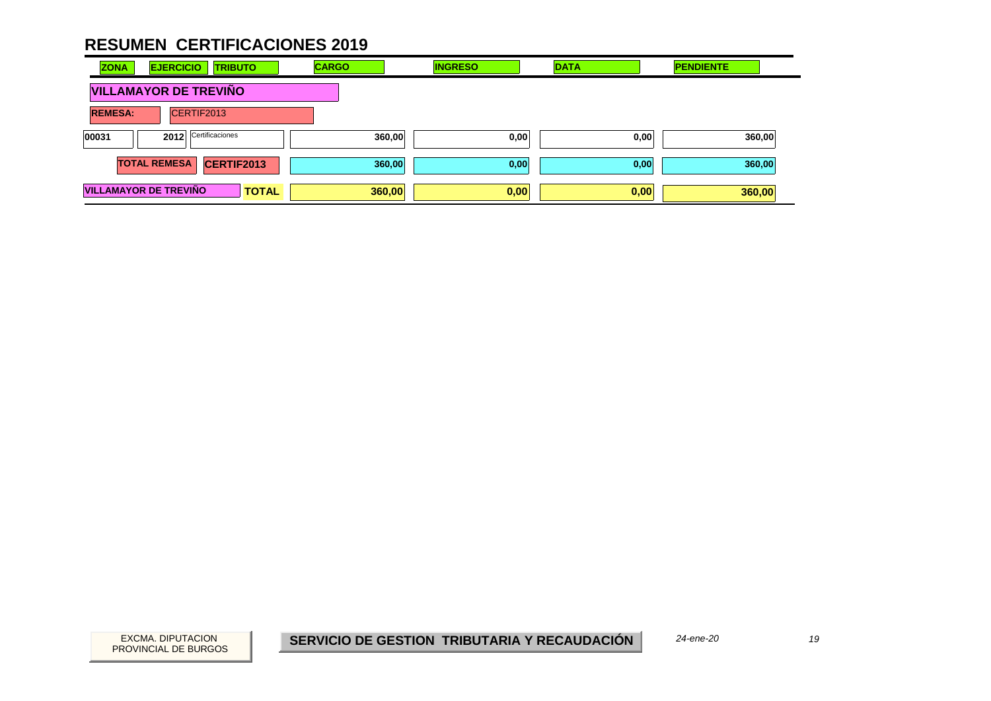| <b>ZONA</b>    | <b>EJERCICIO</b><br><b>TRIBUTO</b>           | <b>CARGO</b> | <b>INGRESO</b> | <b>DATA</b> | <b>PENDIENTE</b> |
|----------------|----------------------------------------------|--------------|----------------|-------------|------------------|
|                | <b>VILLAMAYOR DE TREVIÑO</b>                 |              |                |             |                  |
| <b>REMESA:</b> | CERTIF2013                                   |              |                |             |                  |
| 00031          | Certificaciones<br>2012                      | 360,00       | 0,00           | 0,00        | 360,00           |
|                | <b>TOTAL REMESA</b><br>CERTIF2013            | 360,00       | 0,00           | 0,00        | 360,00           |
|                | <b>VILLAMAYOR DE TREVIÑO</b><br><b>TOTAL</b> | 360,00       | 0,00           | 0,00        | 360,00           |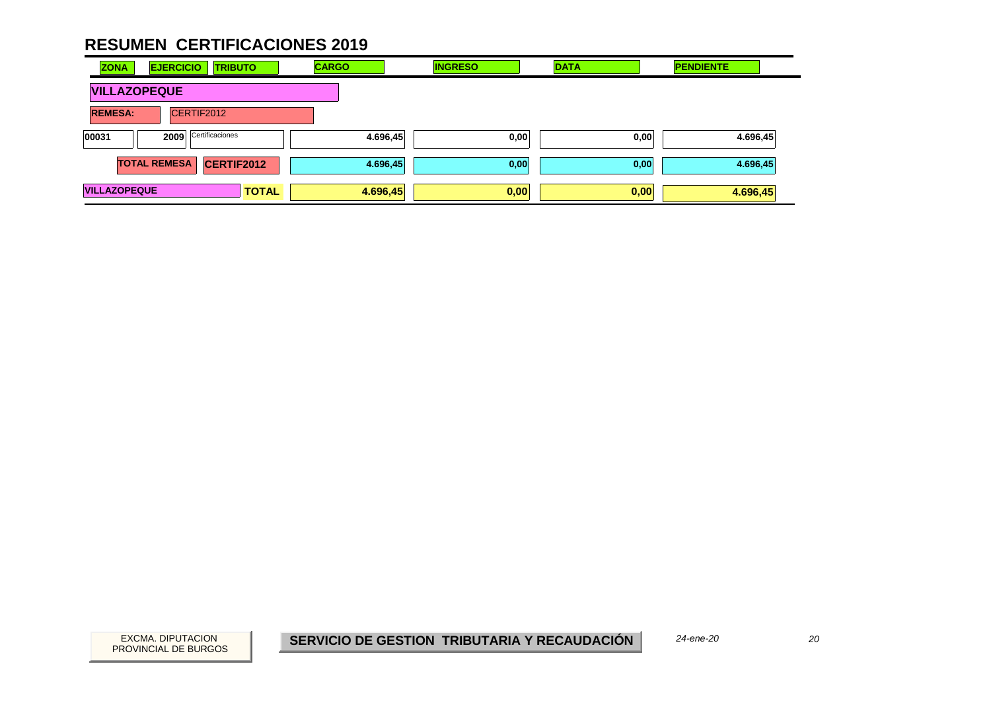| <b>ZONA</b>         | <b>EJERCICIO</b><br><b>TRIBUTO</b>       | <b>CARGO</b> | <b>INGRESO</b> | <b>DATA</b> | <b>PENDIENTE</b> |
|---------------------|------------------------------------------|--------------|----------------|-------------|------------------|
| <b>VILLAZOPEQUE</b> |                                          |              |                |             |                  |
| <b>REMESA:</b>      | CERTIF2012                               |              |                |             |                  |
| 00031               | Certificaciones<br>2009                  | 4.696,45     | 0,00           | 0,00        | 4.696,45         |
|                     | <b>TOTAL REMESA</b><br><b>CERTIF2012</b> | 4.696,45     | 0,00           | 0,00        | 4.696,45         |
| <b>VILLAZOPEQUE</b> | <b>TOTAL</b>                             | 4.696,45     | 0,00           | 0,00        | 4.696,45         |

20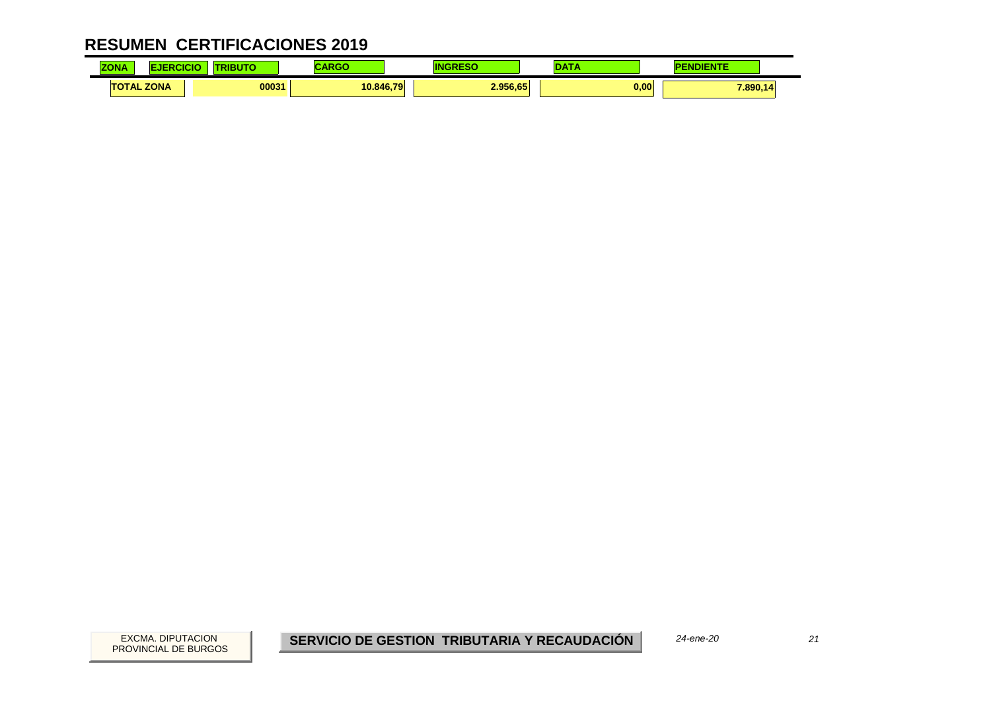| $-0.000$<br>$\overline{\mathbf{z}}$<br>LUNA | .           | .     |           |          |      |          |
|---------------------------------------------|-------------|-------|-----------|----------|------|----------|
| TAL<br>тс                                   | <b>ZONA</b> | 00031 | 10.846.79 | 2.956.65 | 0,00 | 7.890,1. |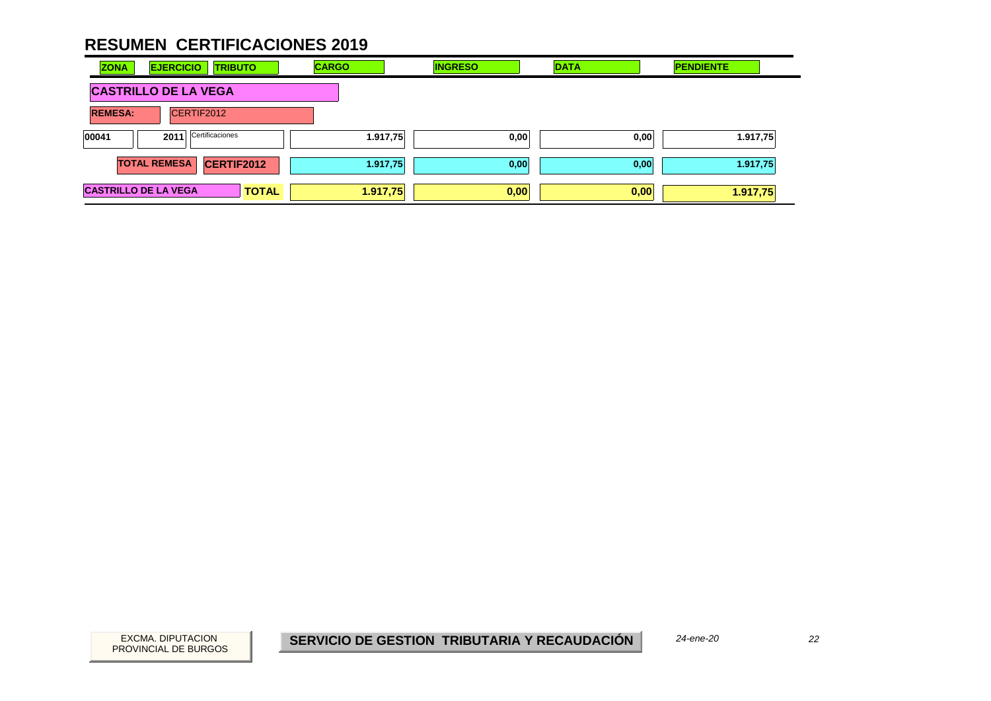| <b>ZONA</b>                 | <b>EJERCICIO</b><br><b>TRIBUTO</b>       | <b>CARGO</b> | <b>INGRESO</b> | <b>DATA</b> | <b>PENDIENTE</b> |
|-----------------------------|------------------------------------------|--------------|----------------|-------------|------------------|
|                             | <b>CASTRILLO DE LA VEGA</b>              |              |                |             |                  |
| <b>REMESA:</b>              | CERTIF2012                               |              |                |             |                  |
| 00041                       | Certificaciones<br>2011                  | 1.917,75     | 0,00           | 0,00        | 1.917,75         |
|                             | <b>CERTIF2012</b><br><b>TOTAL REMESA</b> | 1.917,75     | 0,00           | 0,00        | 1.917,75         |
| <b>CASTRILLO DE LA VEGA</b> | <b>TOTAL</b>                             | 1.917,75     | 0,00           | 0,00        | 1.917,75         |

22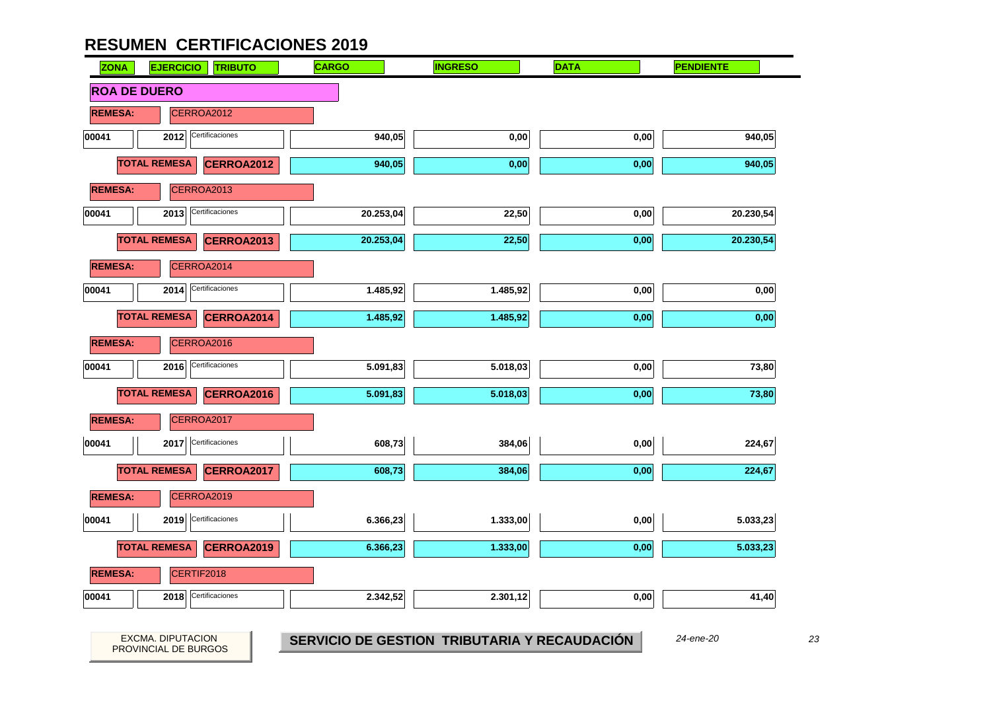

23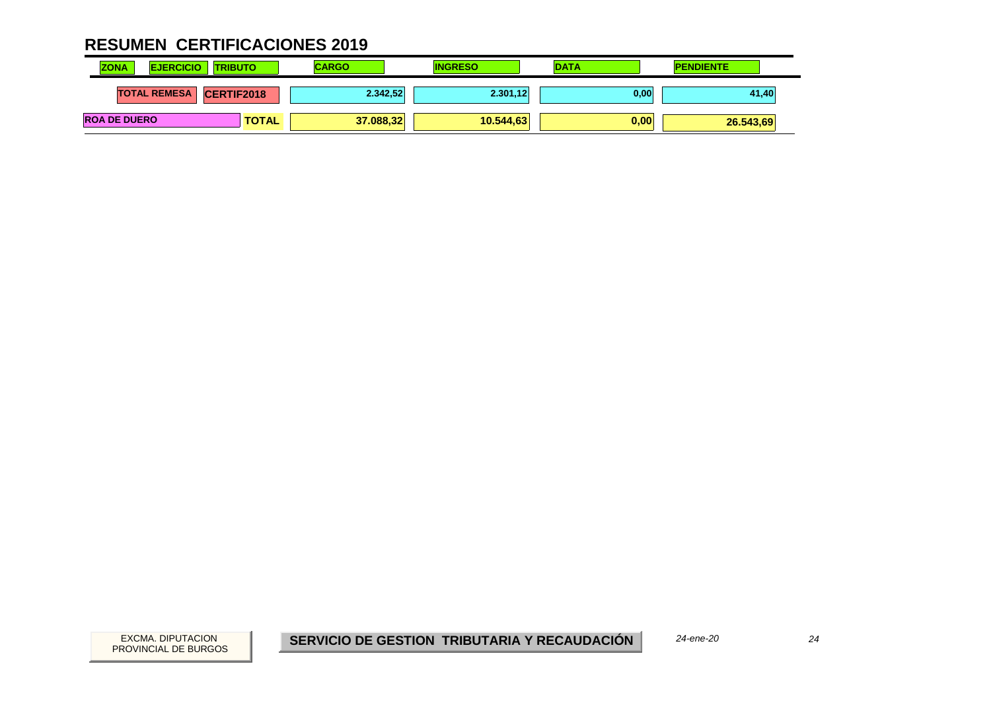| <b>ZONA</b><br><b>EJERCICIO</b> | <b>ITRIBUTO</b>   | <b>CARGO</b> | <b>INGRESO</b> | <b>DATA</b> | <b>PENDIENTE</b> |
|---------------------------------|-------------------|--------------|----------------|-------------|------------------|
| <b>TOTAL REMESA</b>             | <b>CERTIF2018</b> | 2.342,52     | 2.301,12       | 0,00        | 41,40            |
| <b>ROA DE DUERO</b>             | <b>TOTAL</b>      | 37.088,32    | 10.544.63      | 0,00        | 26.543,69        |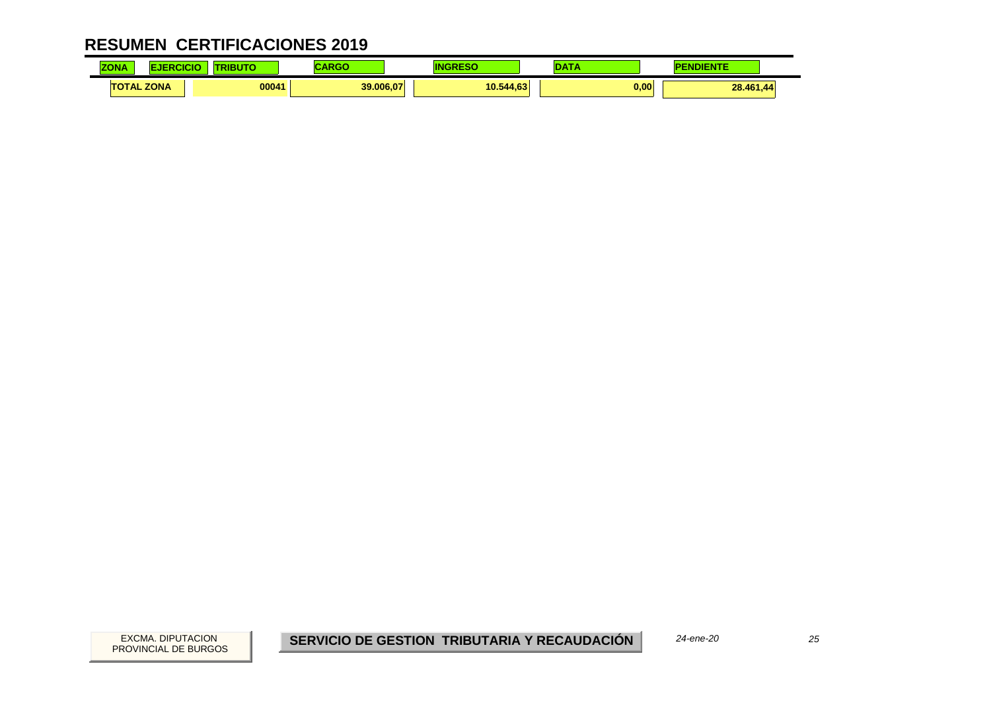| <b>ZONA</b><br><b>SING</b> |             | .     |           |           |                   |
|----------------------------|-------------|-------|-----------|-----------|-------------------|
| $\mathbf{L}$<br>$\sim$     | <b>ZONA</b> | 00041 | 39,006.07 | 10.544,63 | 0.00<br>28.461,44 |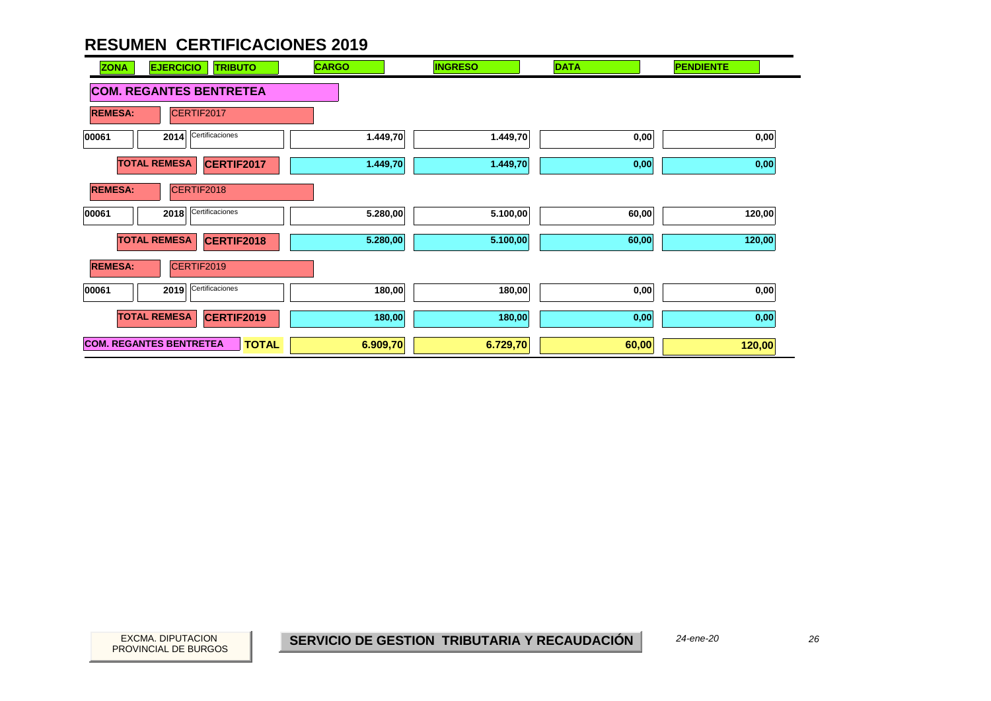| <b>EJERCICIO</b><br><b>ZONA</b>  | <b>TRIBUTO</b>    | <b>CARGO</b> | <b>INGRESO</b> | <b>DATA</b> | <b>PENDIENTE</b> |
|----------------------------------|-------------------|--------------|----------------|-------------|------------------|
| <b>COM. REGANTES BENTRETEA</b>   |                   |              |                |             |                  |
| <b>REMESA:</b><br>CERTIF2017     |                   |              |                |             |                  |
| Certificaciones<br>00061<br>2014 |                   | 1.449,70     | 1.449,70       | 0,00        | 0,00             |
| <b>TOTAL REMESA</b>              | CERTIF2017        | 1.449,70     | 1.449,70       | 0,00        | 0,00             |
| CERTIF2018<br><b>REMESA:</b>     |                   |              |                |             |                  |
| Certificaciones<br>00061<br>2018 |                   | 5.280,00     | 5.100,00       | 60,00       | 120,00           |
| <b>TOTAL REMESA</b>              | <b>CERTIF2018</b> | 5.280,00     | 5.100,00       | 60,00       | 120,00           |
| <b>REMESA:</b><br>CERTIF2019     |                   |              |                |             |                  |
| Certificaciones<br>00061<br>2019 |                   | 180,00       | 180,00         | 0,00        | 0,00             |
| <b>TOTAL REMESA</b>              | CERTIF2019        | 180,00       | 180,00         | 0,00        | 0,00             |
| <b>COM. REGANTES BENTRETEA</b>   | <b>TOTAL</b>      | 6.909,70     | 6.729,70       | 60,00       | 120,00           |

26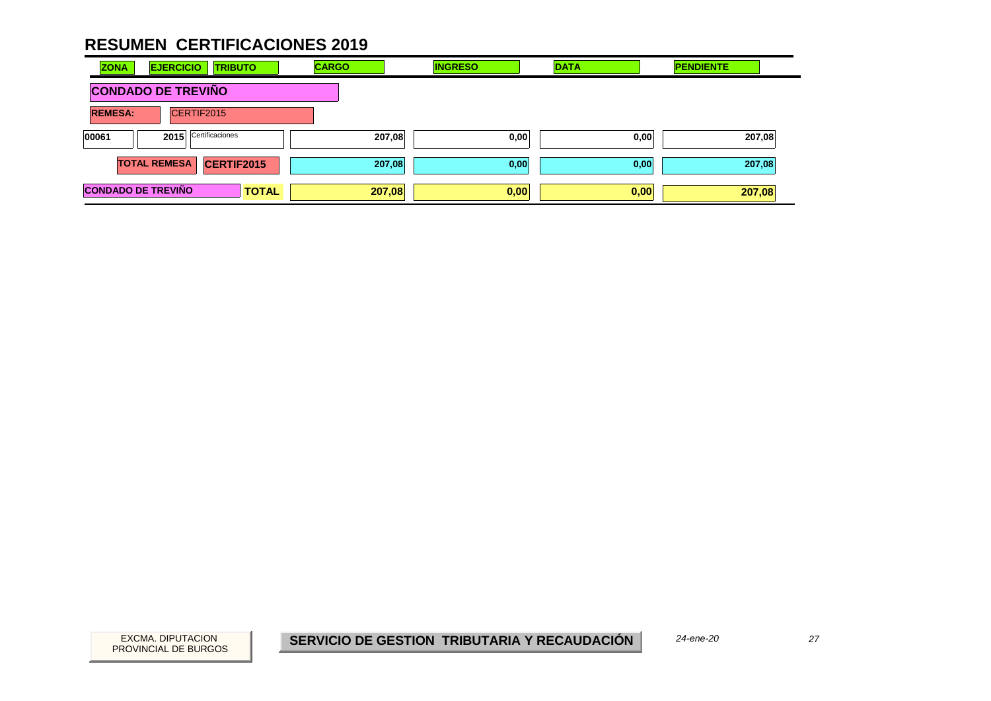| <b>ZONA</b>               | <b>EJERCICIO</b><br><b>TRIBUTO</b> | <b>CARGO</b> | <b>INGRESO</b> | <b>DATA</b> | <b>PENDIENTE</b> |
|---------------------------|------------------------------------|--------------|----------------|-------------|------------------|
| <b>CONDADO DE TREVIÑO</b> |                                    |              |                |             |                  |
| <b>REMESA:</b>            | CERTIF2015                         |              |                |             |                  |
| 00061                     | Certificaciones<br>2015            | 207,08       | 0,00           | 0,00        | 207,08           |
|                           | CERTIF2015<br><b>TOTAL REMESA</b>  | 207,08       | 0,00           | 0,00        | 207,08           |
| <b>CONDADO DE TREVIÑO</b> | <b>TOTAL</b>                       | 207,08       | 0,00           | 0,00        | 207,08           |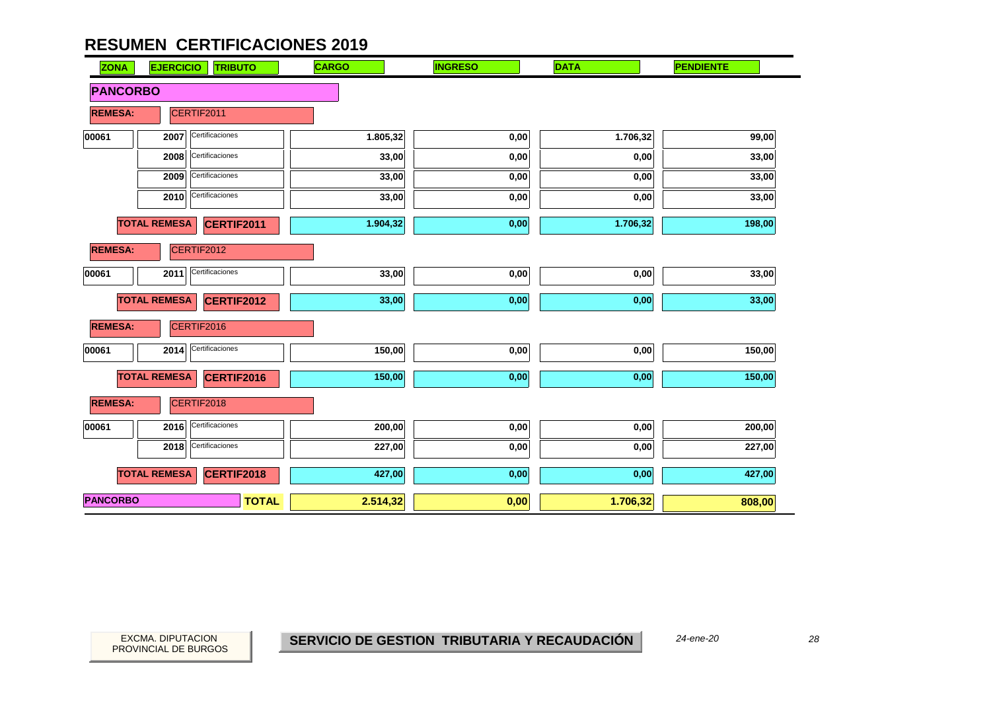| <b>ZONA</b>     | <b>EJERCICIO</b><br><b>TRIBUTO</b>       | <b>CARGO</b> | <b>INGRESO</b> | <b>DATA</b> | <b>PENDIENTE</b> |  |
|-----------------|------------------------------------------|--------------|----------------|-------------|------------------|--|
| <b>PANCORBO</b> |                                          |              |                |             |                  |  |
| <b>REMESA:</b>  | CERTIF2011                               |              |                |             |                  |  |
| 00061           | Certificaciones<br>2007                  | 1.805,32     | 0,00           | 1.706,32    | 99,00            |  |
|                 | Certificaciones<br>2008                  | 33,00        | 0,00           | 0,00        | 33,00            |  |
|                 | Certificaciones<br>2009                  | 33,00        | 0,00           | 0,00        | 33,00            |  |
|                 | Certificaciones<br>2010                  | 33,00        | 0,00           | 0,00        | 33,00            |  |
|                 | <b>TOTAL REMESA</b><br><b>CERTIF2011</b> | 1.904,32     | 0,00           | 1.706,32    | 198,00           |  |
| <b>REMESA:</b>  | CERTIF2012                               |              |                |             |                  |  |
| 00061           | Certificaciones<br>2011                  | 33,00        | 0,00           | 0,00        | 33,00            |  |
|                 | <b>TOTAL REMESA</b><br><b>CERTIF2012</b> | 33,00        | 0,00           | 0,00        | 33,00            |  |
| <b>REMESA:</b>  | CERTIF2016                               |              |                |             |                  |  |
| 00061           | Certificaciones<br>2014                  | 150,00       | 0,00           | 0,00        | 150,00           |  |
|                 | <b>TOTAL REMESA</b><br>CERTIF2016        | 150,00       | 0,00           | 0,00        | 150,00           |  |
| <b>REMESA:</b>  | CERTIF2018                               |              |                |             |                  |  |
| 00061           | Certificaciones<br>2016                  | 200,00       | 0,00           | 0,00        | 200,00           |  |
|                 | Certificaciones<br>2018                  | 227,00       | 0,00           | 0,00        | 227,00           |  |
|                 | <b>TOTAL REMESA</b><br>CERTIF2018        | 427,00       | 0,00           | 0,00        | 427,00           |  |
| <b>PANCORBO</b> | <b>TOTAL</b>                             | 2.514,32     | 0,00           | 1.706,32    | 808,00           |  |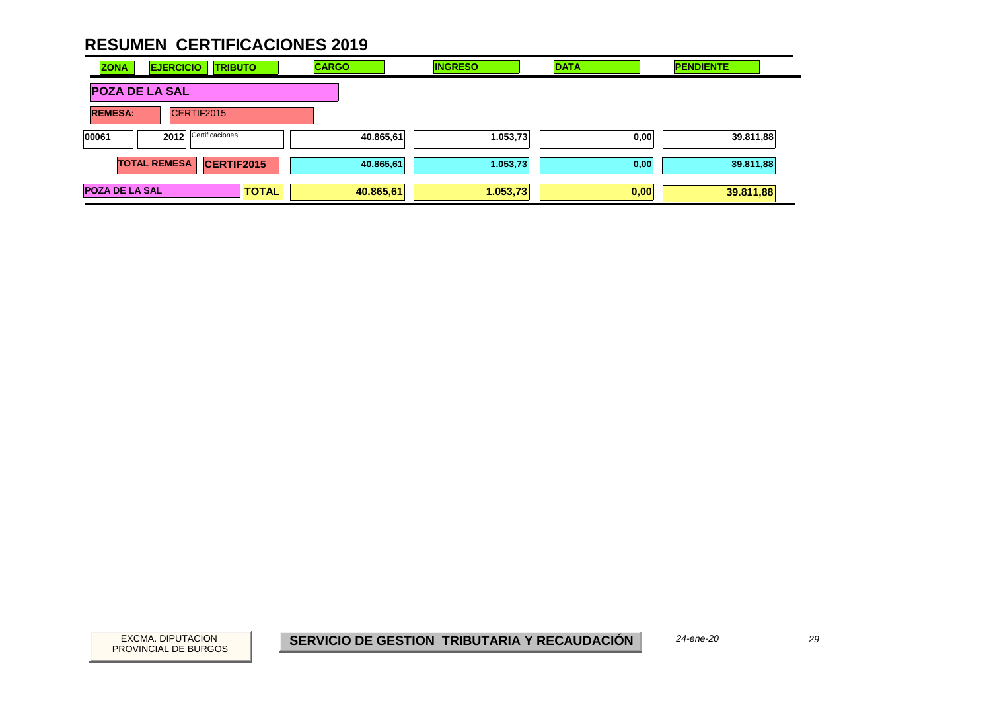| <b>ZONA</b>           | <b>EJERCICIO</b><br><b>TRIBUTO</b> |              | <b>CARGO</b> | <b>INGRESO</b> | <b>DATA</b> | <b>PENDIENTE</b> |  |
|-----------------------|------------------------------------|--------------|--------------|----------------|-------------|------------------|--|
| <b>POZA DE LA SAL</b> |                                    |              |              |                |             |                  |  |
| <b>REMESA:</b>        | CERTIF2015                         |              |              |                |             |                  |  |
| 00061                 | Certificaciones<br>2012            |              | 40.865,61    | 1.053,73       | 0,00        | 39.811,88        |  |
|                       | CERTIF2015<br><b>TOTAL REMESA</b>  |              | 40.865,61    | 1.053,73       | 0,00        | 39.811,88        |  |
| <b>POZA DE LA SAL</b> |                                    | <b>TOTAL</b> | 40.865,61    | 1.053,73       | 0,00        | 39.811,88        |  |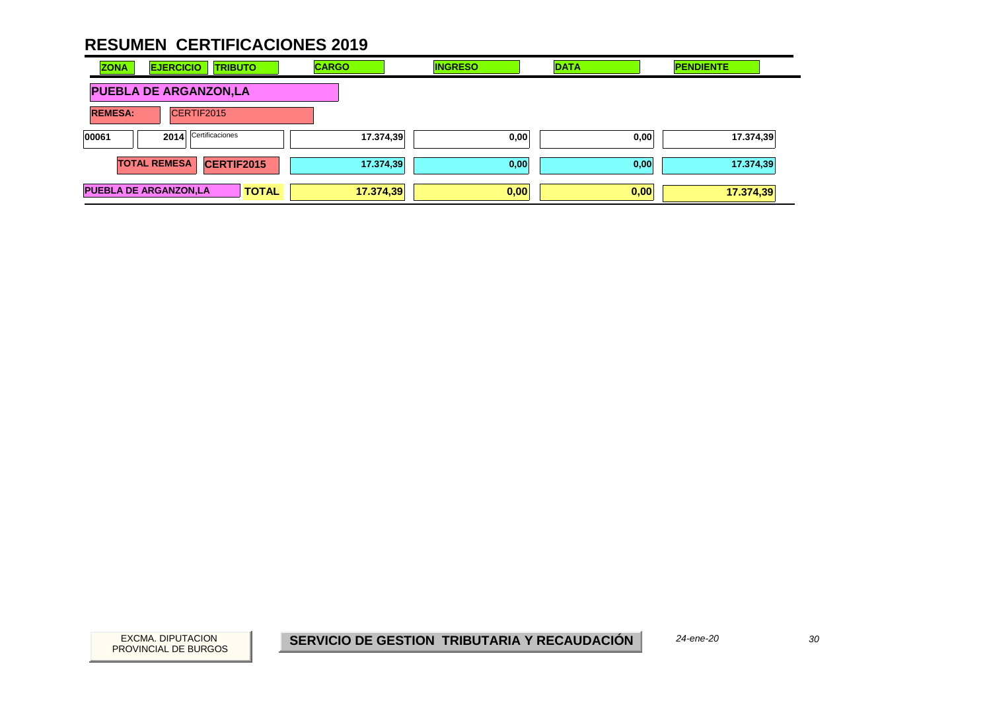| <b>ZONA</b>    | <b>EJERCICIO</b><br><b>TRIBUTO</b>           | <b>CARGO</b> | <b>INGRESO</b> | <b>DATA</b> | <b>PENDIENTE</b> |
|----------------|----------------------------------------------|--------------|----------------|-------------|------------------|
|                | <b>PUEBLA DE ARGANZON,LA</b>                 |              |                |             |                  |
| <b>REMESA:</b> | CERTIF2015                                   |              |                |             |                  |
| 00061          | Certificaciones<br>2014                      | 17.374,39    | 0,00           | 0,00        | 17.374,39        |
|                | <b>CERTIF2015</b><br><b>TOTAL REMESA</b>     | 17.374,39    | 0,00           | 0,00        | 17.374,39        |
|                | <b>PUEBLA DE ARGANZON,LA</b><br><b>TOTAL</b> | 17.374,39    | 0,00           | 0,00        | 17.374,39        |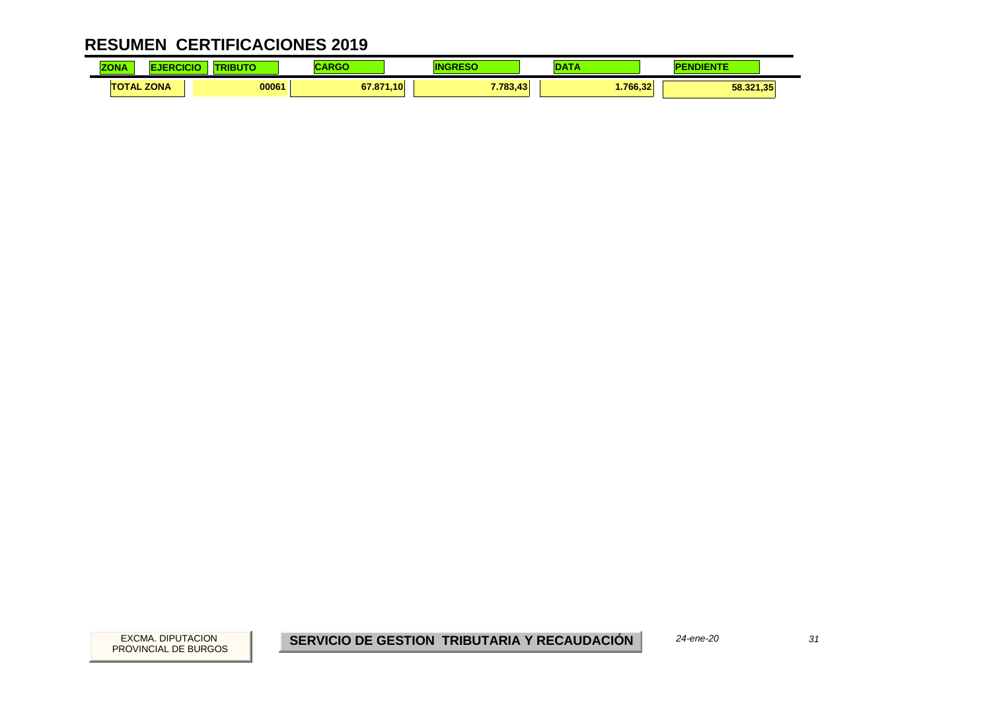| <b>ZONA</b><br>$-$ UNA |             | <b><i><u>Property</u></i></b> |                            |                          |         |           |
|------------------------|-------------|-------------------------------|----------------------------|--------------------------|---------|-----------|
| $\mathbf{T}$ AL        | <b>ZONA</b> | 00061                         | 1.10<br>67.87 <sup>4</sup> | 7.783.<br>$\overline{a}$ | .766.32 | 58.321,35 |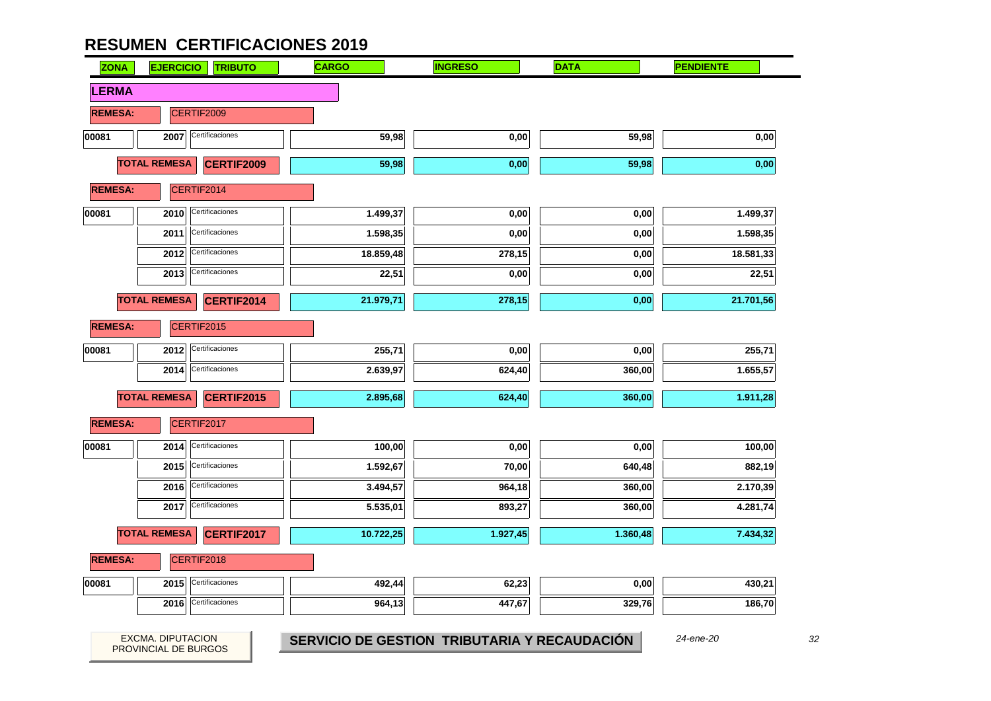PROVINCIAL DE BURGOS

| <b>ZONA</b>    | <b>EJERCICIO</b>    | <b>TRIBUTO</b>    | <b>CARGO</b> | <b>INGRESO</b> | <b>DATA</b> | <b>PENDIENTE</b>  |
|----------------|---------------------|-------------------|--------------|----------------|-------------|-------------------|
| <b>LERMA</b>   |                     |                   |              |                |             |                   |
| <b>REMESA:</b> |                     | CERTIF2009        |              |                |             |                   |
| 00081          | 2007                | Certificaciones   | 59,98        | $0,\!00$       | 59,98       | $\mathbf{0{,}00}$ |
|                | <b>TOTAL REMESA</b> | CERTIF2009        | 59,98        | 0,00           | 59,98       | 0,00              |
| <b>REMESA:</b> |                     | CERTIF2014        |              |                |             |                   |
| 00081          | 2010                | Certificaciones   | 1.499,37     | 0,00           | 0,00        | 1.499,37          |
|                | 2011                | Certificaciones   | 1.598,35     | $_{0,00}$      | 0,00        | 1.598,35          |
|                | 2012                | Certificaciones   | 18.859,48    | 278,15         | 0,00        | 18.581,33         |
|                | 2013                | Certificaciones   | 22,51        | 0,00           | 0,00        | 22,51             |
|                | <b>TOTAL REMESA</b> | CERTIF2014        | 21.979,71    | 278,15         | 0,00        | 21.701,56         |
| <b>REMESA:</b> |                     | CERTIF2015        |              |                |             |                   |
| 00081          | 2012                | Certificaciones   | 255,71       | 0,00           | 0,00        | 255,71            |
|                | 2014                | Certificaciones   | 2.639,97     | 624,40         | 360,00      | 1.655,57          |
|                | <b>TOTAL REMESA</b> | <b>CERTIF2015</b> | 2.895,68     | 624,40         | 360,00      | 1.911,28          |
| <b>REMESA:</b> |                     | CERTIF2017        |              |                |             |                   |
| 00081          | 2014                | Certificaciones   | 100,00       | 0,00           | 0,00        | 100,00            |
|                | 2015                | Certificaciones   | 1.592,67     | 70,00          | 640,48      | 882,19            |
|                | 2016                | Certificaciones   | 3.494,57     | 964,18         | 360,00      | 2.170,39          |
|                | 2017                | Certificaciones   | 5.535,01     | 893,27         | 360,00      | 4.281,74          |
|                | <b>TOTAL REMESA</b> | CERTIF2017        | 10.722,25    | 1.927,45       | 1.360,48    | 7.434,32          |
| <b>REMESA:</b> |                     | CERTIF2018        |              |                |             |                   |
| 00081          | 2015                | Certificaciones   | 492,44       | 62,23          | 0,00        | 430,21            |
|                | 2016                | Certificaciones   | 964,13       | 447,67         | 329,76      | 186,70            |

 $32$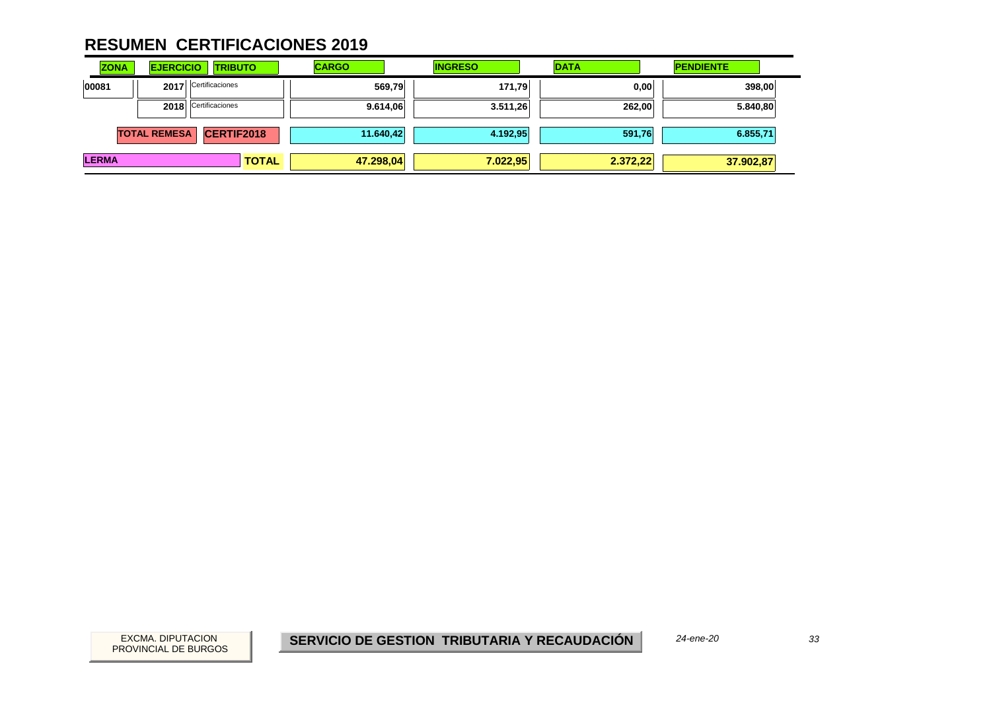| <b>ZONA</b>  | <b>EJERCICIO</b>    | <b>TRIBUTO</b>    | <b>CARGO</b> | <b>INGRESO</b> | <b>DATA</b> | <b>PENDIENTE</b> |
|--------------|---------------------|-------------------|--------------|----------------|-------------|------------------|
| 00081        | 2017                | Certificaciones   | 569,79       | 171,79         | 0,00        | 398,00           |
|              | 2018                | Certificaciones   | 9.614,06     | 3.511,26       | 262,00      | 5.840,80         |
|              | <b>TOTAL REMESA</b> | <b>CERTIF2018</b> | 11.640,42    | 4.192,95       | 591,76      | 6.855,71         |
| <b>LERMA</b> |                     | <b>TOTAL</b>      | 47.298,04    | 7.022,95       | 2.372,22    | 37.902,87        |

33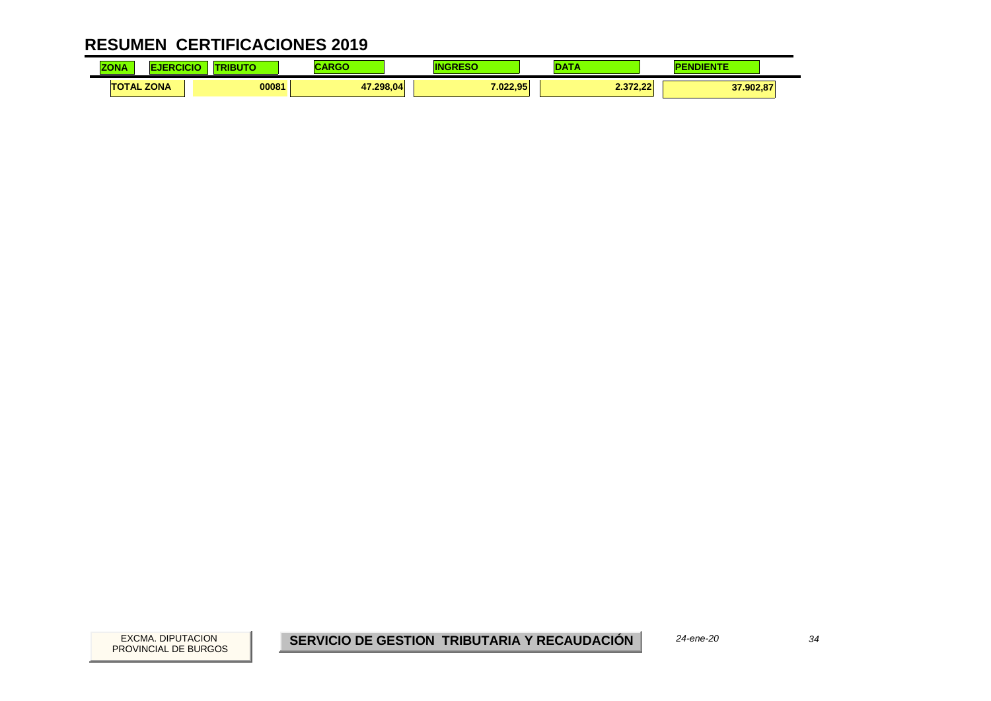| <b>ZONA</b> |                   | <b><i><u>ALCOHOL: 2005</u></i></b> |           |          |                             | <b>CONTRACTOR</b> |
|-------------|-------------------|------------------------------------|-----------|----------|-----------------------------|-------------------|
|             | <b>TOTAL ZONA</b> | 00081                              | 47.298.04 | 7.022.95 | 0.270.00<br><b>L.JIL.LL</b> | 37.902,87         |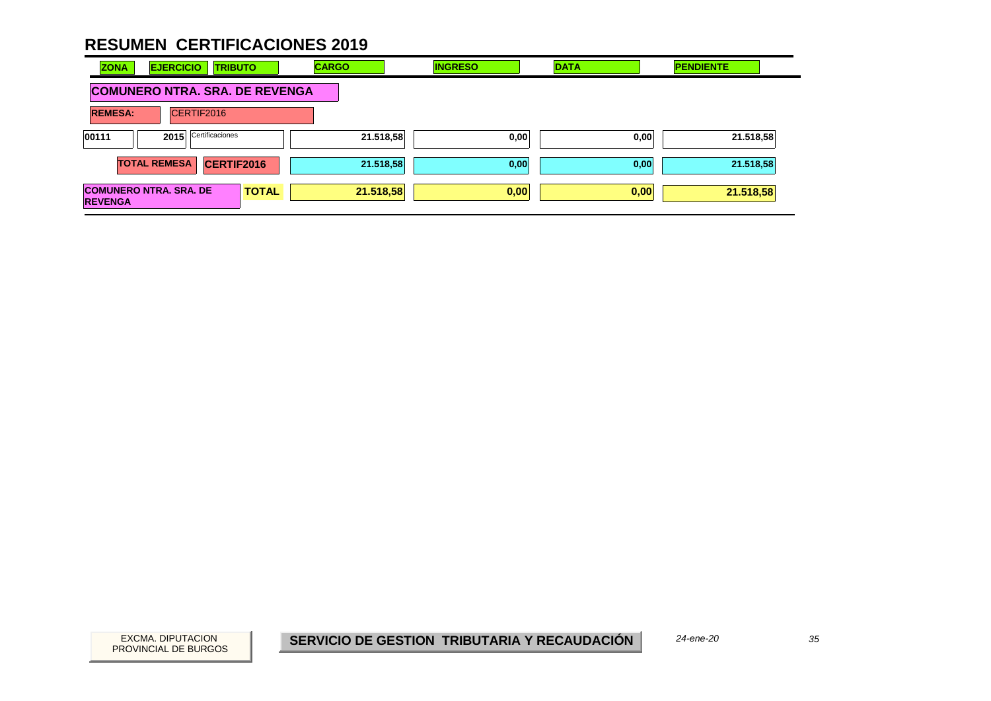| <b>EJERCICIO</b><br><b>ZONA</b><br><b>TRIBUTO</b>               | <b>CARGO</b>                          | <b>INGRESO</b> | <b>DATA</b> | <b>PENDIENTE</b> |  |  |  |  |
|-----------------------------------------------------------------|---------------------------------------|----------------|-------------|------------------|--|--|--|--|
|                                                                 | <b>COMUNERO NTRA. SRA. DE REVENGA</b> |                |             |                  |  |  |  |  |
| <b>REMESA:</b><br>CERTIF2016                                    |                                       |                |             |                  |  |  |  |  |
| 2015 Certificaciones<br>00111                                   | 21.518,58                             | 0,00           | 0,00        | 21.518,58        |  |  |  |  |
| <b>TOTAL REMESA</b><br><b>CERTIF2016</b>                        | 21.518,58                             | 0,00           | 0,00        | 21.518,58        |  |  |  |  |
| <b>COMUNERO NTRA. SRA. DE</b><br><b>TOTAL</b><br><b>REVENGA</b> | 21.518,58                             | 0,00           | 0,00        | 21.518,58        |  |  |  |  |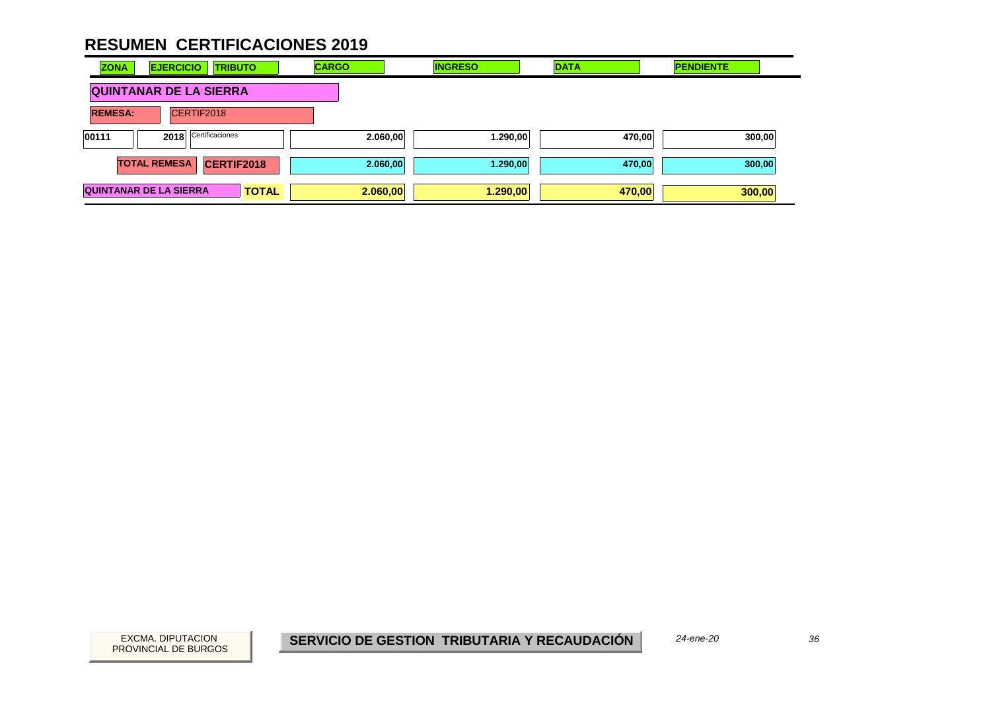| <b>EJERCICIO</b><br><b>ZONA</b><br><b>TRIBUTO</b> | <b>CARGO</b> | <b>INGRESO</b> | <b>DATA</b> | <b>PENDIENTE</b> |
|---------------------------------------------------|--------------|----------------|-------------|------------------|
| <b>QUINTANAR DE LA SIERRA</b>                     |              |                |             |                  |
| CERTIF2018<br><b>REMESA:</b>                      |              |                |             |                  |
| Certificaciones<br>00111<br>2018                  | 2.060,00     | 1.290,00       | 470,00      | 300,00           |
| <b>TOTAL REMESA</b><br><b>CERTIF2018</b>          | 2.060,00     | 1.290,00       | 470,00      | 300,00           |
| <b>QUINTANAR DE LA SIERRA</b><br><b>TOTAL</b>     | 2.060,00     | 1.290,00       | 470,00      | 300,00           |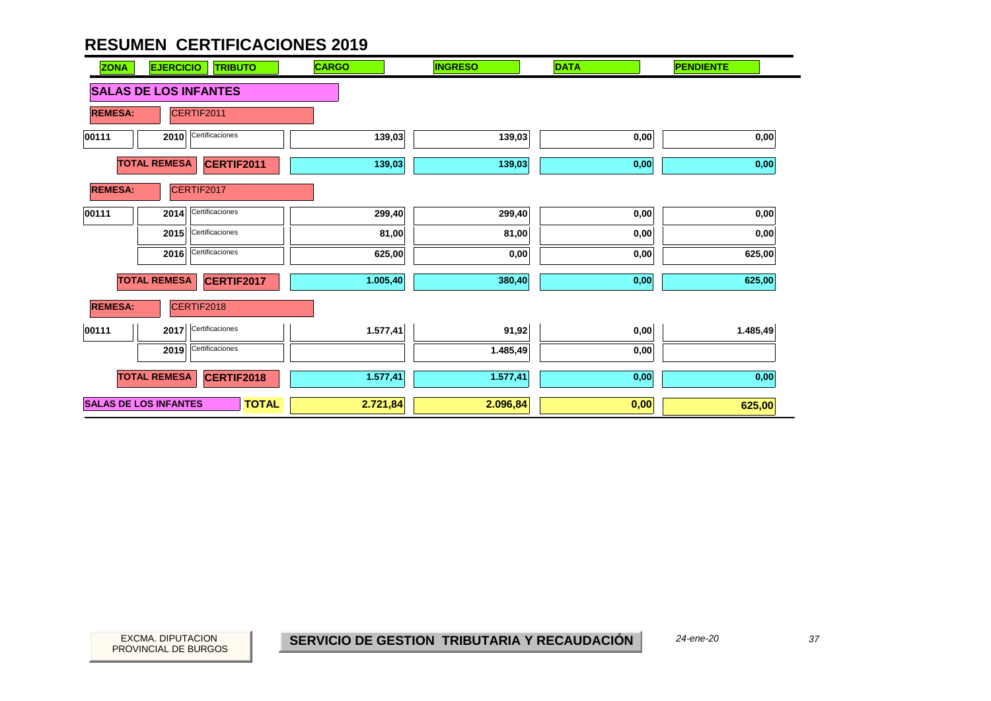| <b>ZONA</b>    | <b>EJERCICIO</b><br><b>TRIBUTO</b>           | <b>CARGO</b> | <b>INGRESO</b> | <b>DATA</b> | <b>PENDIENTE</b> |
|----------------|----------------------------------------------|--------------|----------------|-------------|------------------|
|                | <b>SALAS DE LOS INFANTES</b>                 |              |                |             |                  |
| <b>REMESA:</b> | CERTIF2011                                   |              |                |             |                  |
| 00111          | Certificaciones<br>2010                      | 139,03       | 139,03         | 0,00        | 0,00             |
|                | <b>TOTAL REMESA</b><br>CERTIF2011            | 139,03       | 139,03         | 0,00        | 0,00             |
| <b>REMESA:</b> | CERTIF2017                                   |              |                |             |                  |
| 00111          | Certificaciones<br>2014                      | 299,40       | 299,40         | 0,00        | 0,00             |
|                | 2015 Certificaciones                         | 81,00        | 81,00          | 0,00        | 0,00             |
|                | 2016 Certificaciones                         | 625,00       | 0,00           | 0,00        | 625,00           |
|                | <b>TOTAL REMESA</b><br>CERTIF2017            | 1.005,40     | 380,40         | 0,00        | 625,00           |
| <b>REMESA:</b> | CERTIF2018                                   |              |                |             |                  |
| 00111          | 2017 Certificaciones                         | 1.577,41     | 91,92          | 0,00        | 1.485,49         |
|                | Certificaciones<br>2019                      |              | 1.485,49       | 0,00        |                  |
|                | <b>TOTAL REMESA</b><br><b>CERTIF2018</b>     | 1.577,41     | 1.577,41       | 0,00        | 0,00             |
|                | <b>SALAS DE LOS INFANTES</b><br><b>TOTAL</b> | 2.721,84     | 2.096,84       | 0,00        | 625,00           |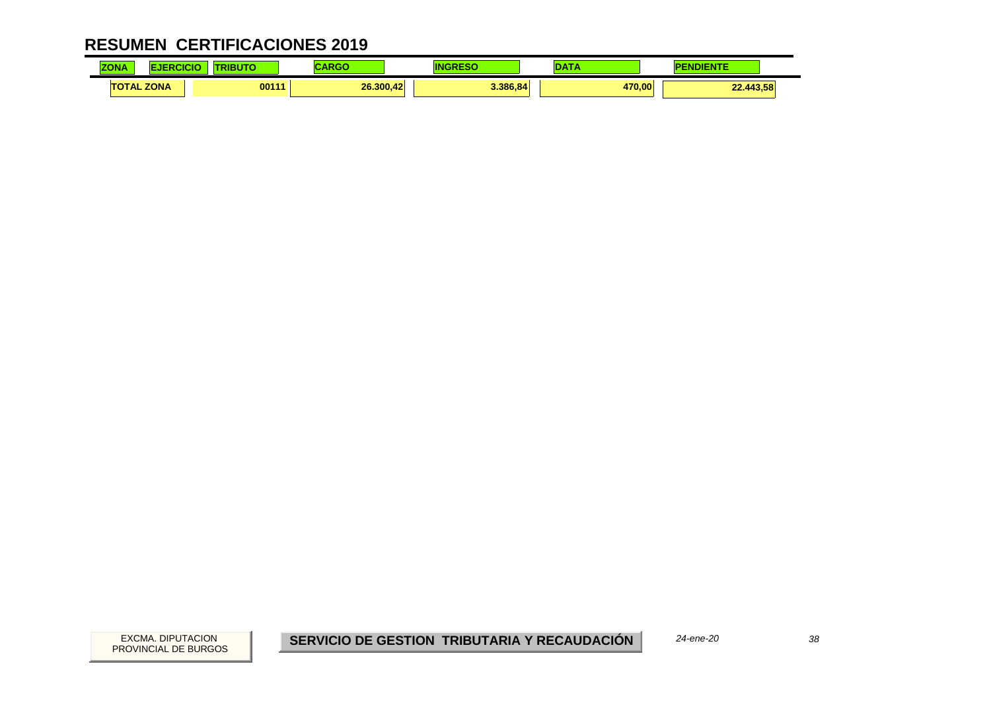| <b>ZONA</b><br><u>_JNA - </u> | .     |           |          | <b>CONTINUES</b>    |
|-------------------------------|-------|-----------|----------|---------------------|
| <b>TOTAL ZONA</b>             | 00111 | 26,300.42 | 3.386.84 | 470.00<br>22.443,58 |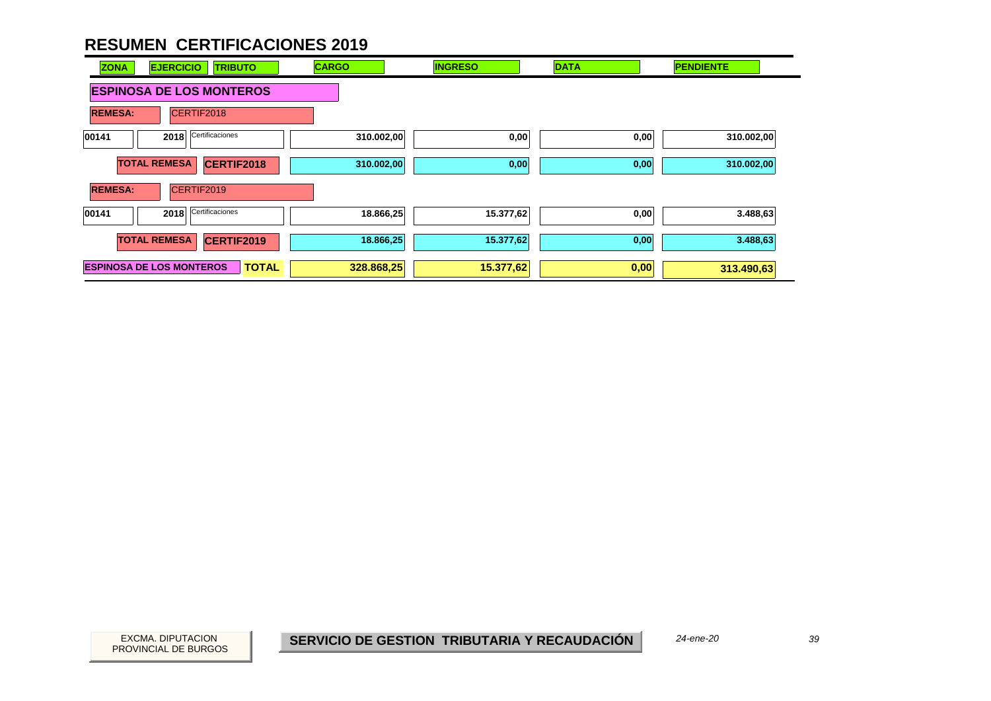

PROVINCIAL DE BURGOS

*24-ene-20*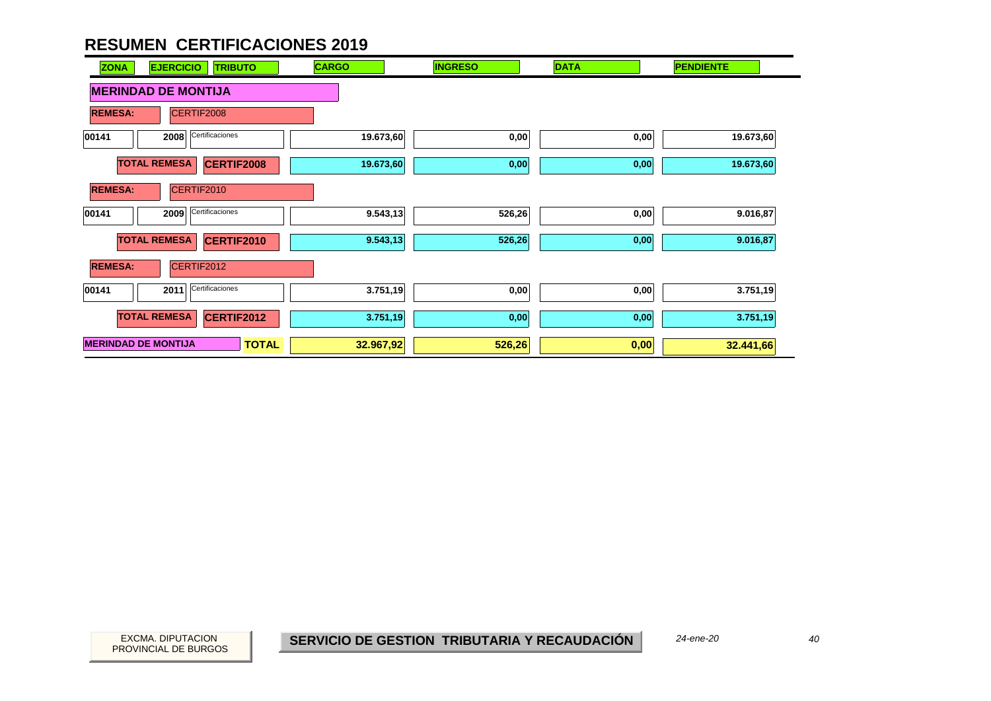| <b>EJERCICIO</b><br><b>TRIBUTO</b><br><b>ZONA</b> | <b>CARGO</b> | <b>INGRESO</b> | <b>DATA</b> | <b>PENDIENTE</b> |
|---------------------------------------------------|--------------|----------------|-------------|------------------|
| <b>MERINDAD DE MONTIJA</b>                        |              |                |             |                  |
| CERTIF2008<br><b>REMESA:</b>                      |              |                |             |                  |
| Certificaciones<br>00141<br>2008                  | 19.673,60    | 0,00           | 0,00        | 19.673,60        |
| <b>TOTAL REMESA</b><br><b>CERTIF2008</b>          | 19.673,60    | 0,00           | 0,00        | 19.673,60        |
| CERTIF2010<br><b>REMESA:</b>                      |              |                |             |                  |
| Certificaciones<br>00141<br>2009                  | 9.543,13     | 526,26         | 0,00        | 9.016,87         |
| <b>TOTAL REMESA</b><br>CERTIF2010                 | 9.543,13     | 526,26         | 0,00        | 9.016,87         |
| <b>REMESA:</b><br>CERTIF2012                      |              |                |             |                  |
| Certificaciones<br>2011<br>00141                  | 3.751,19     | 0,00           | 0,00        | 3.751,19         |
| <b>TOTAL REMESA</b><br>CERTIF2012                 | 3.751,19     | 0,00           | 0,00        | 3.751,19         |
| <b>MERINDAD DE MONTIJA</b><br><b>TOTAL</b>        | 32.967,92    | 526,26         | 0,00        | 32.441,66        |

40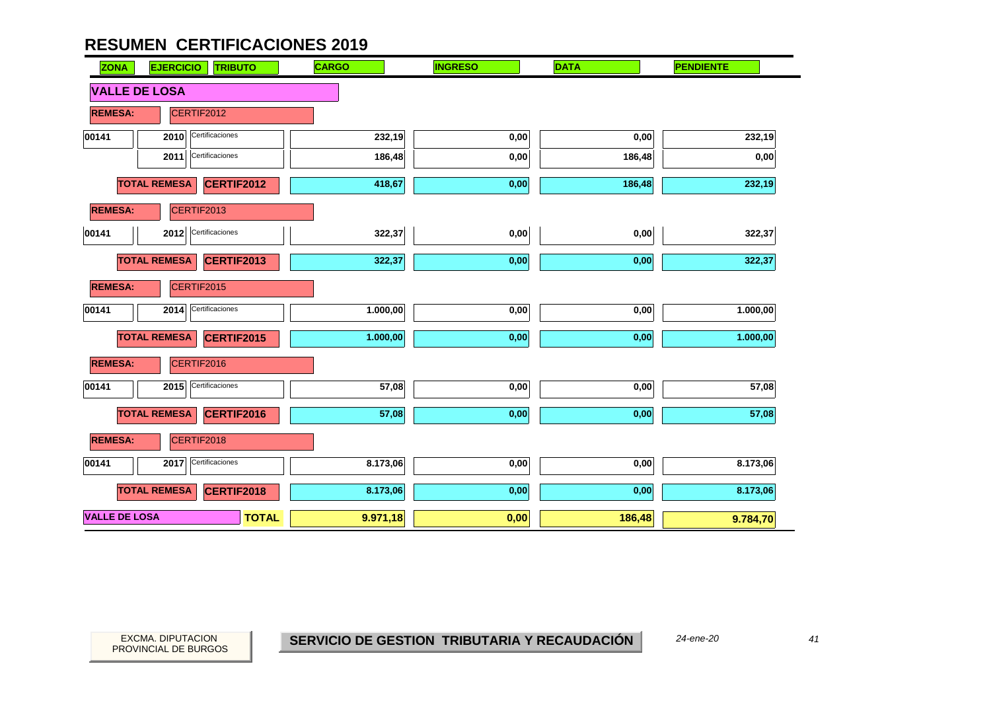| <b>ZONA</b>          | <b>TRIBUTO</b><br><b>EJERCICIO</b> | <b>CARGO</b> | <b>INGRESO</b> | <b>DATA</b> | <b>PENDIENTE</b> |
|----------------------|------------------------------------|--------------|----------------|-------------|------------------|
| <b>VALLE DE LOSA</b> |                                    |              |                |             |                  |
| <b>REMESA:</b>       | CERTIF2012                         |              |                |             |                  |
| 00141                | Certificaciones<br>2010            | 232,19       | 0,00           | 0,00        | 232,19           |
|                      | Certificaciones<br>2011            | 186,48       | 0,00           | 186,48      | 0,00             |
|                      | <b>TOTAL REMESA</b><br>CERTIF2012  | 418,67       | 0,00           | 186,48      | 232,19           |
| <b>REMESA:</b>       | CERTIF2013                         |              |                |             |                  |
| 00141                | 2012 Certificaciones               | 322,37       | 0,00           | 0,00        | 322,37           |
|                      | <b>TOTAL REMESA</b><br>CERTIF2013  | 322,37       | 0,00           | 0,00        | 322,37           |
| <b>REMESA:</b>       | CERTIF2015                         |              |                |             |                  |
| 00141                | Certificaciones<br>2014            | 1.000,00     | 0,00           | $0,\!00$    | 1.000,00         |
|                      | <b>TOTAL REMESA</b><br>CERTIF2015  | 1.000,00     | 0,00           | 0,00        | 1.000,00         |
| <b>REMESA:</b>       | CERTIF2016                         |              |                |             |                  |
| 00141                | Certificaciones<br>2015            | 57,08        | 0,00           | 0,00        | 57,08            |
|                      | <b>TOTAL REMESA</b><br>CERTIF2016  | 57,08        | 0,00           | 0,00        | 57,08            |
| <b>REMESA:</b>       | CERTIF2018                         |              |                |             |                  |
| 00141                | Certificaciones<br>2017            | 8.173,06     | 0,00           | $0,\!00$    | 8.173,06         |
|                      | <b>TOTAL REMESA</b><br>CERTIF2018  | 8.173,06     | 0,00           | 0,00        | 8.173,06         |
| <b>VALLE DE LOSA</b> | <b>TOTAL</b>                       | 9.971,18     | 0,00           | 186,48      | 9.784,70         |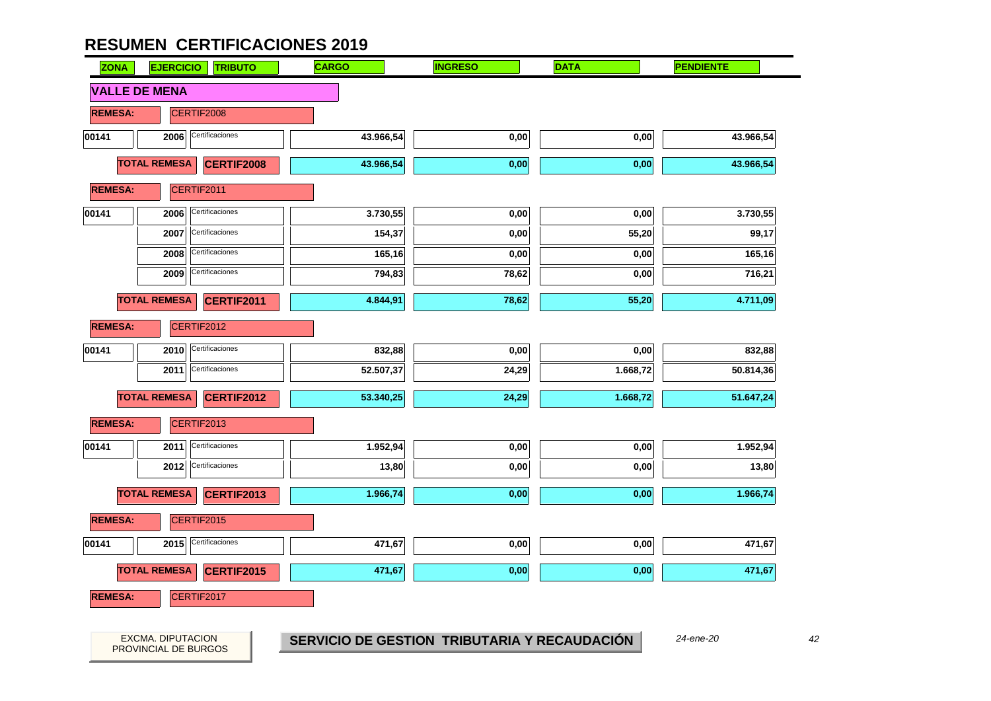| <b>ZONA</b>    | <b>EJERCICIO</b><br><b>TRIBUTO</b>       | <b>CARGO</b>                                 | <b>INGRESO</b> | <b>DATA</b> | <b>PENDIENTE</b> |
|----------------|------------------------------------------|----------------------------------------------|----------------|-------------|------------------|
|                | <b>VALLE DE MENA</b>                     |                                              |                |             |                  |
| <b>REMESA:</b> | CERTIF2008                               |                                              |                |             |                  |
| 00141          | Certificaciones<br>2006                  | 43.966,54                                    | $_{0,00}$      | 0,00        | 43.966,54        |
|                | <b>TOTAL REMESA</b><br>CERTIF2008        | 43.966,54                                    | 0,00           | 0,00        | 43.966,54        |
| <b>REMESA:</b> | CERTIF2011                               |                                              |                |             |                  |
| 00141          | Certificaciones<br>2006                  | 3.730,55                                     | 0,00           | 0,00        | 3.730,55         |
|                | Certificaciones<br>2007                  | 154,37                                       | 0,00           | 55,20       | 99,17            |
|                | Certificaciones<br>2008                  | 165,16                                       | 0,00           | 0,00        | 165,16           |
|                | Certificaciones<br>2009                  | 794,83                                       | 78,62          | 0,00        | 716,21           |
|                | <b>TOTAL REMESA</b><br><b>CERTIF2011</b> | 4.844,91                                     | 78,62          | 55,20       | 4.711,09         |
| <b>REMESA:</b> | CERTIF2012                               |                                              |                |             |                  |
| 00141          | Certificaciones<br>2010                  | 832,88                                       | 0,00           | 0,00        | 832,88           |
|                | Certificaciones<br>2011                  | 52.507,37                                    | 24,29          | 1.668,72    | 50.814,36        |
|                | <b>TOTAL REMESA</b><br><b>CERTIF2012</b> | 53.340,25                                    | 24,29          | 1.668,72    | 51.647,24        |
| <b>REMESA:</b> | CERTIF2013                               |                                              |                |             |                  |
| 00141          | Certificaciones<br>2011                  | 1.952,94                                     | 0,00           | 0,00        | 1.952,94         |
|                | 2012 Certificaciones                     | 13,80                                        | 0,00           | 0,00        | 13,80            |
|                | <b>TOTAL REMESA</b><br>CERTIF2013        | 1.966,74                                     | 0,00           | 0,00        | 1.966,74         |
| <b>REMESA:</b> | CERTIF2015                               |                                              |                |             |                  |
| 00141          | Certificaciones<br>2015                  | 471,67                                       | 0,00           | 0,00        | 471,67           |
|                | <b>TOTAL REMESA</b><br>CERTIF2015        | 471,67                                       | 0,00           | 0,00        | 471,67           |
| <b>REMESA:</b> | CERTIF2017                               |                                              |                |             |                  |
|                |                                          |                                              |                |             |                  |
|                | EXCMA. DIPUTACION                        | SERVICIO DE GESTION TRIBUTARIA Y RECAUDACIÓN |                |             | 24-ene-20        |
|                | PROVINCIAL DE BURGOS                     |                                              |                |             |                  |

42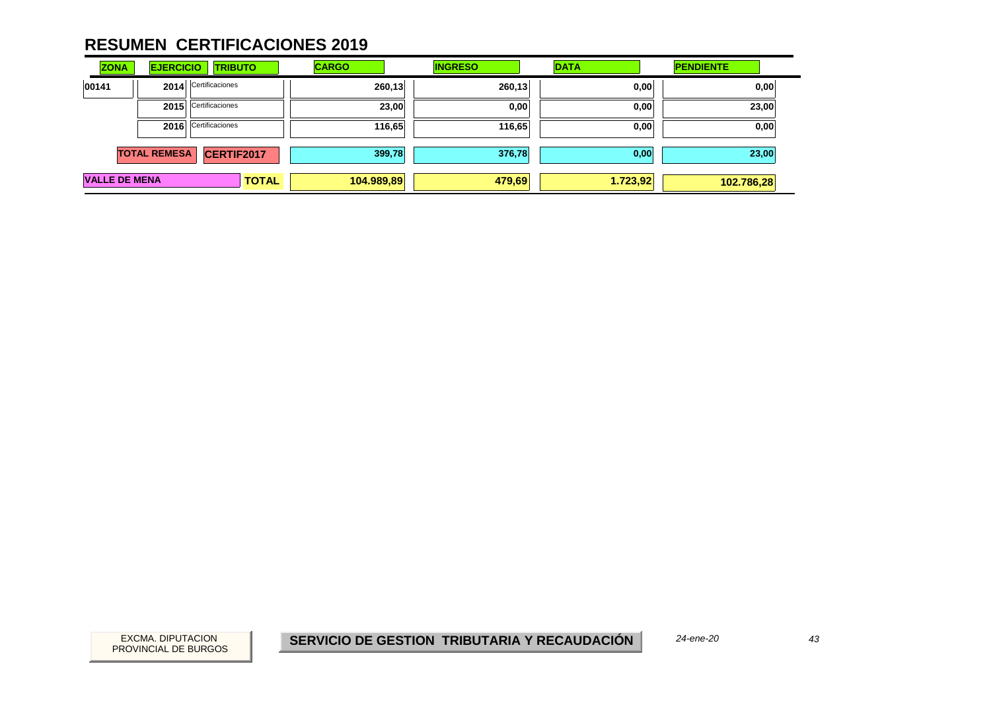| <b>ZONA</b>          | <b>EJERCICIO</b>    | <b>TRIBUTO</b>       | <b>CARGO</b> | <b>INGRESO</b> | <b>DATA</b> | <b>PENDIENTE</b> |
|----------------------|---------------------|----------------------|--------------|----------------|-------------|------------------|
| 00141                | 2014                | Certificaciones      | 260,13       | 260,13         | 0,00        | 0,00             |
|                      | 2015                | Certificaciones      | 23,00        | 0,00           | 0,00        | 23,00            |
|                      |                     | 2016 Certificaciones | 116,65       | 116,65         | 0,00        | 0,00             |
|                      | <b>TOTAL REMESA</b> | CERTIF2017           | 399,78       | 376,78         | 0,00        | 23,00            |
| <b>VALLE DE MENA</b> |                     | <b>TOTAL</b>         | 104.989,89   | 479,69         | 1.723,92    | 102.786,28       |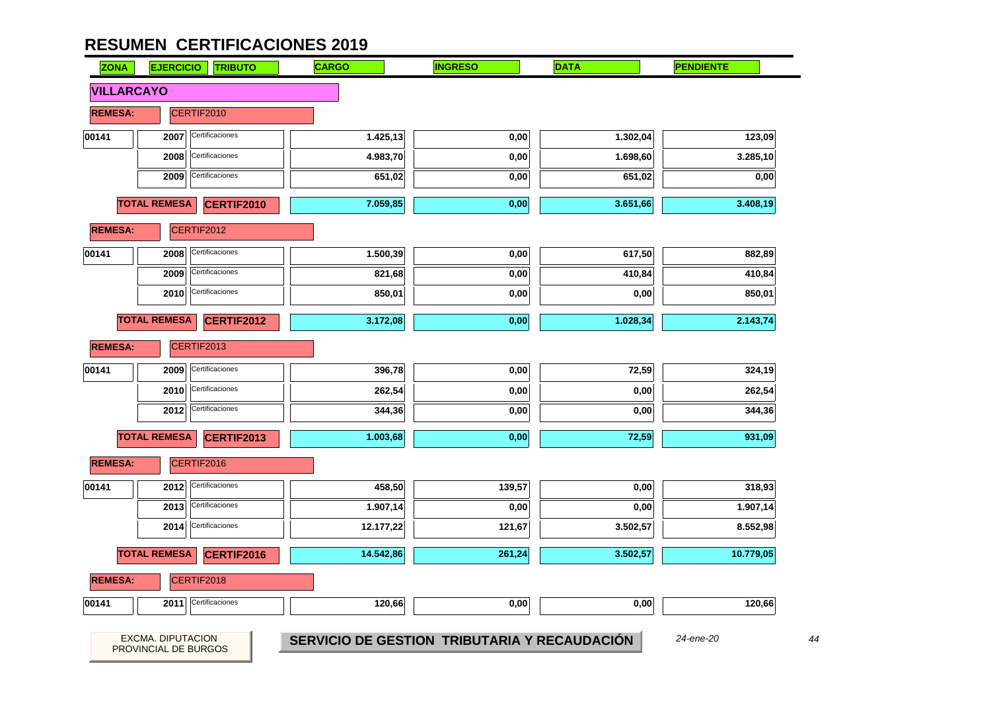

44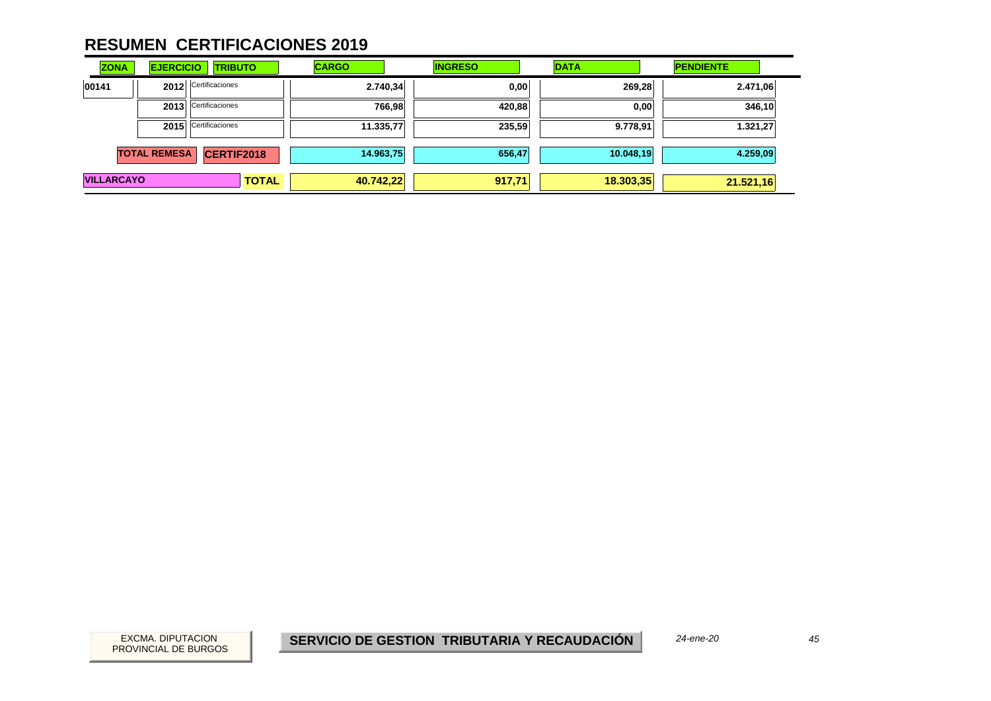| <b>ZONA</b>       | <b>EJERCICIO</b>    | <b>TRIBUTO</b>       | <b>CARGO</b> | <b>INGRESO</b> | <b>DATA</b> | <b>PENDIENTE</b> |
|-------------------|---------------------|----------------------|--------------|----------------|-------------|------------------|
| 00141             | 2012                | Certificaciones      | 2.740,34     | 0,00           | 269,28      | 2.471,06         |
|                   | 2013                | Certificaciones      | 766,98       | 420,88         | 0,00        | 346,10           |
|                   |                     | 2015 Certificaciones | 11.335,77    | 235,59         | 9.778,91    | 1.321,27         |
|                   | <b>TOTAL REMESA</b> | <b>CERTIF2018</b>    | 14.963,75    | 656,47         | 10.048,19   | 4.259,09         |
| <b>VILLARCAYO</b> |                     | <b>TOTAL</b>         | 40.742,22    | 917,71         | 18.303,35   | 21.521,16        |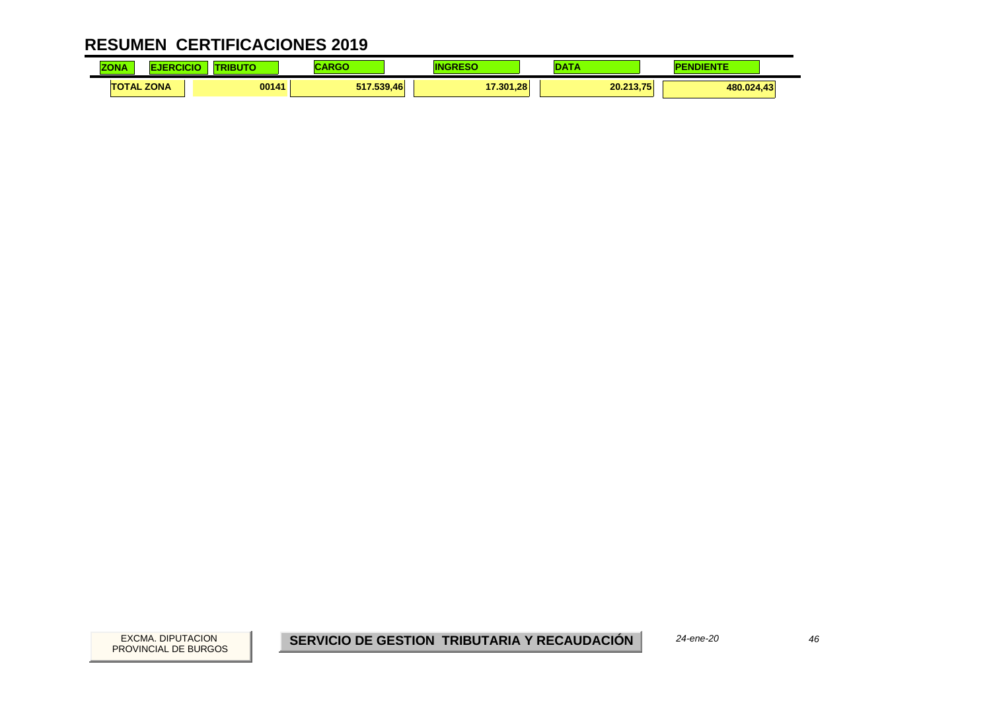| <b>ZONA</b>       | ICI | 11 ודי<br>3U | $\blacksquare$    |           | --        | INIENTE<br>. . |
|-------------------|-----|--------------|-------------------|-----------|-----------|----------------|
| <b>TOTAL ZONA</b> |     | 00141        | 517.539.46<br>. . | 17.301.28 | 20.213.75 | 480.024,43     |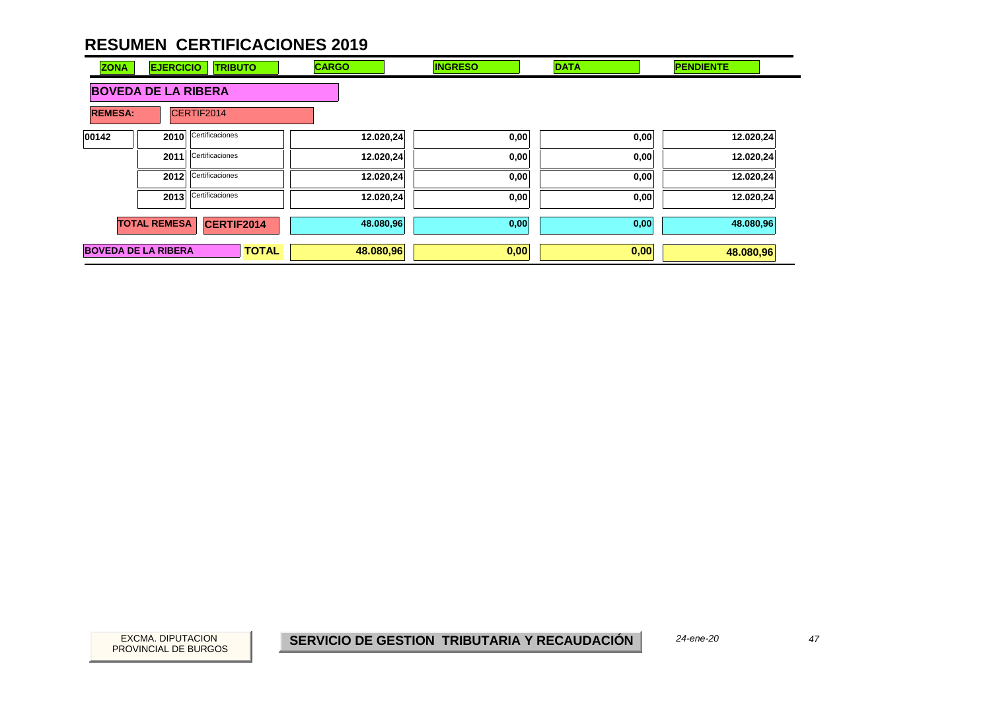| <b>ZONA</b>                | <b>EJERCICIO</b>           | <b>TRIBUTO</b>  | <b>CARGO</b> | <b>INGRESO</b> | <b>DATA</b> | <b>PENDIENTE</b> |
|----------------------------|----------------------------|-----------------|--------------|----------------|-------------|------------------|
|                            | <b>BOVEDA DE LA RIBERA</b> |                 |              |                |             |                  |
| <b>REMESA:</b>             |                            | CERTIF2014      |              |                |             |                  |
| 00142                      | 2010                       | Certificaciones | 12.020,24    | 0,00           | 0,00        | 12.020,24        |
|                            | 2011                       | Certificaciones | 12.020,24    | 0,00           | 0,00        | 12.020,24        |
|                            | 2012                       | Certificaciones | 12.020,24    | 0,00           | 0,00        | 12.020,24        |
|                            | 2013                       | Certificaciones | 12.020,24    | 0,00           | 0,00        | 12.020,24        |
|                            | <b>TOTAL REMESA</b>        | CERTIF2014      | 48.080,96    | 0,00           | 0,00        | 48.080,96        |
| <b>BOVEDA DE LA RIBERA</b> |                            | <b>TOTAL</b>    | 48.080,96    | 0,00           | 0,00        | 48.080,96        |

EXCMA. DIPUTACION *47***SERVICIO DE GESTION TRIBUTARIA Y RECAUDACIÓN**

*24-ene-20*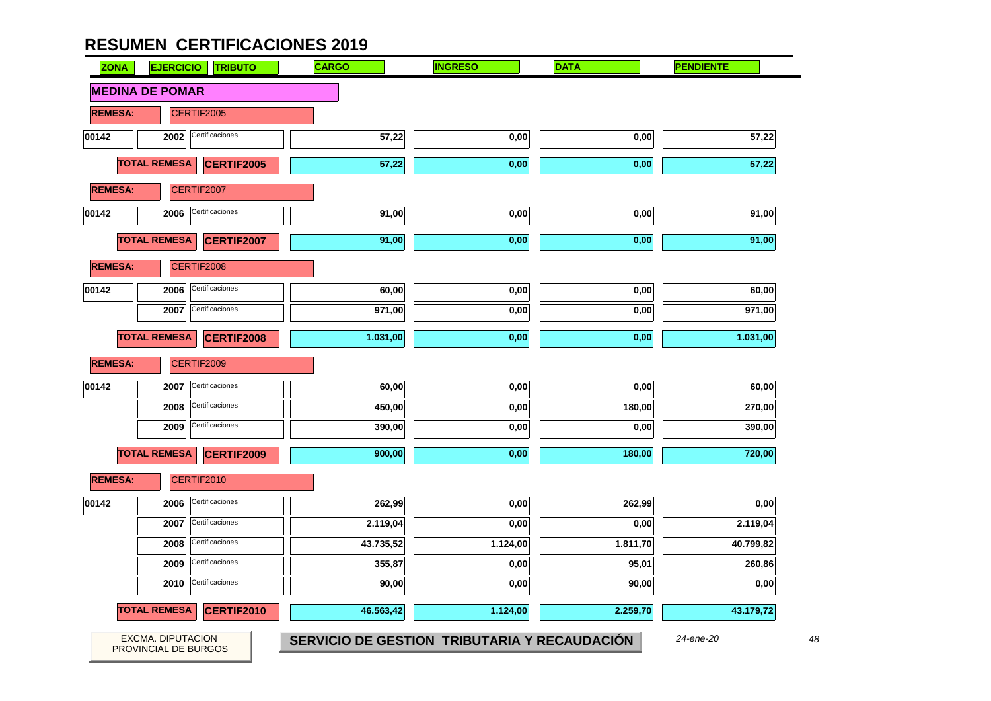| <b>ZONA</b>    | <b>EJERCICIO</b>       | <b>TRIBUTO</b>    | <b>CARGO</b> | <b>INGRESO</b> | <b>DATA</b> | <b>PENDIENTE</b> |
|----------------|------------------------|-------------------|--------------|----------------|-------------|------------------|
|                | <b>MEDINA DE POMAR</b> |                   |              |                |             |                  |
| <b>REMESA:</b> |                        | CERTIF2005        |              |                |             |                  |
| 00142          | 2002                   | Certificaciones   | 57,22        | 0,00           | 0,00        | 57,22            |
|                | <b>TOTAL REMESA</b>    | <b>CERTIF2005</b> | 57,22        | 0,00           | 0,00        | 57,22            |
| <b>REMESA:</b> |                        | CERTIF2007        |              |                |             |                  |
| 00142          | 2006                   | Certificaciones   | 91,00        | 0,00           | 0,00        | 91,00            |
|                | <b>TOTAL REMESA</b>    | CERTIF2007        | 91,00        | 0,00           | 0,00        | 91,00            |
| <b>REMESA:</b> |                        | CERTIF2008        |              |                |             |                  |
| 00142          | 2006                   | Certificaciones   | 60,00        | 0,00           | 0,00        | 60,00            |
|                | 2007                   | Certificaciones   | 971,00       | 0,00           | 0,00        | 971,00           |
|                | <b>TOTAL REMESA</b>    | <b>CERTIF2008</b> | 1.031,00     | 0,00           | 0,00        | 1.031,00         |
| <b>REMESA:</b> |                        | CERTIF2009        |              |                |             |                  |
| 00142          | 2007                   | Certificaciones   | 60,00        | 0,00           | 0,00        | 60,00            |
|                | 2008                   | Certificaciones   | 450,00       | 0,00           | 180,00      | 270,00           |
|                | 2009                   | Certificaciones   | 390,00       | 0,00           | 0,00        | 390,00           |
|                | <b>TOTAL REMESA</b>    | <b>CERTIF2009</b> | 900,00       | 0,00           | 180,00      | 720,00           |
| <b>REMESA:</b> |                        | CERTIF2010        |              |                |             |                  |
| 00142          | 2006                   | Certificaciones   | 262,99       | 0,00           | 262,99      | 0,00             |
|                | 2007                   | Certificaciones   | 2.119,04     | 0,00           | 0,00        | 2.119,04         |
|                | 2008                   | Certificaciones   | 43.735,52    | 1.124,00       | 1.811,70    | 40.799,82        |
|                | 2009                   | Certificaciones   | 355,87       | 0,00           | 95,01       | 260,86           |
|                | 2010                   | Certificaciones   | 90,00        | 0,00           | 90,00       | 0,00             |
|                | <b>TOTAL REMESA</b>    | <b>CERTIF2010</b> | 46.563,42    | 1.124,00       | 2.259,70    | 43.179,72        |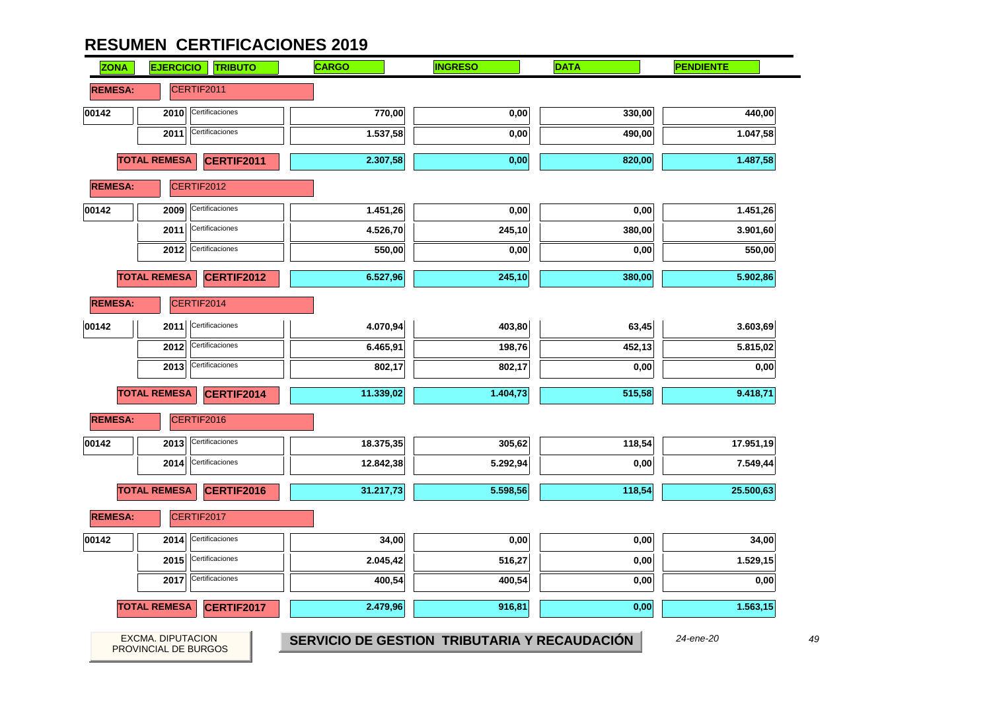| <b>ZONA</b>    | <b>EJERCICIO</b><br><b>TRIBUTO</b>               | <b>CARGO</b>                                 | <b>INGRESO</b> | <b>DATA</b> | <b>PENDIENTE</b> |
|----------------|--------------------------------------------------|----------------------------------------------|----------------|-------------|------------------|
| <b>REMESA:</b> | CERTIF2011                                       |                                              |                |             |                  |
| 00142          | Certificaciones<br>2010                          | 770,00                                       | 0,00           | 330,00      | 440,00           |
|                | Certificaciones<br>2011                          | 1.537,58                                     | 0,00           | 490,00      | 1.047,58         |
|                | <b>TOTAL REMESA</b><br>CERTIF2011                | 2.307,58                                     | 0,00           | 820,00      | 1.487,58         |
| <b>REMESA:</b> | CERTIF2012                                       |                                              |                |             |                  |
| 00142          | Certificaciones<br>2009                          | 1.451,26                                     | 0,00           | 0,00        | 1.451,26         |
|                | Certificaciones<br>2011                          | 4.526,70                                     | 245,10         | 380,00      | 3.901,60         |
|                | Certificaciones<br>2012                          | 550,00                                       | 0,00           | 0,00        | 550,00           |
|                | <b>TOTAL REMESA</b><br>CERTIF2012                | 6.527,96                                     | 245,10         | 380,00      | 5.902,86         |
| <b>REMESA:</b> | CERTIF2014                                       |                                              |                |             |                  |
| 00142          | Certificaciones<br>2011                          | 4.070,94                                     | 403,80         | 63,45       | 3.603,69         |
|                | Certificaciones<br>2012                          | 6.465,91                                     | 198,76         | 452,13      | 5.815,02         |
|                | Certificaciones<br>2013                          | 802,17                                       | 802,17         | 0,00        | 0,00             |
|                | <b>TOTAL REMESA</b><br>CERTIF2014                | 11.339,02                                    | 1.404,73       | 515,58      | 9.418,71         |
| <b>REMESA:</b> | CERTIF2016                                       |                                              |                |             |                  |
| 00142          | Certificaciones<br>2013                          | 18.375,35                                    | 305,62         | 118,54      | 17.951,19        |
|                | Certificaciones<br>2014                          | 12.842,38                                    | 5.292,94       | 0,00        | 7.549,44         |
|                | <b>TOTAL REMESA</b><br>CERTIF2016                | 31.217,73                                    | 5.598,56       | 118,54      | 25.500,63        |
| <b>REMESA:</b> | CERTIF2017                                       |                                              |                |             |                  |
| 00142          | Certificaciones<br>2014                          | 34,00                                        | 0,00           | 0,00        | 34,00            |
|                | Certificaciones<br>2015                          | 2.045,42                                     | 516,27         | 0,00        | 1.529,15         |
|                | Certificaciones<br>2017                          | 400,54                                       | 400,54         | 0,00        | 0,00             |
|                | <b>TOTAL REMESA</b><br>CERTIF2017                | 2.479,96                                     | 916,81         | 0,00        | 1.563,15         |
|                | <b>EXCMA. DIPUTACION</b><br>PROVINCIAL DE BURGOS | SERVICIO DE GESTION TRIBUTARIA Y RECAUDACIÓN |                |             | 24-ene-20        |

49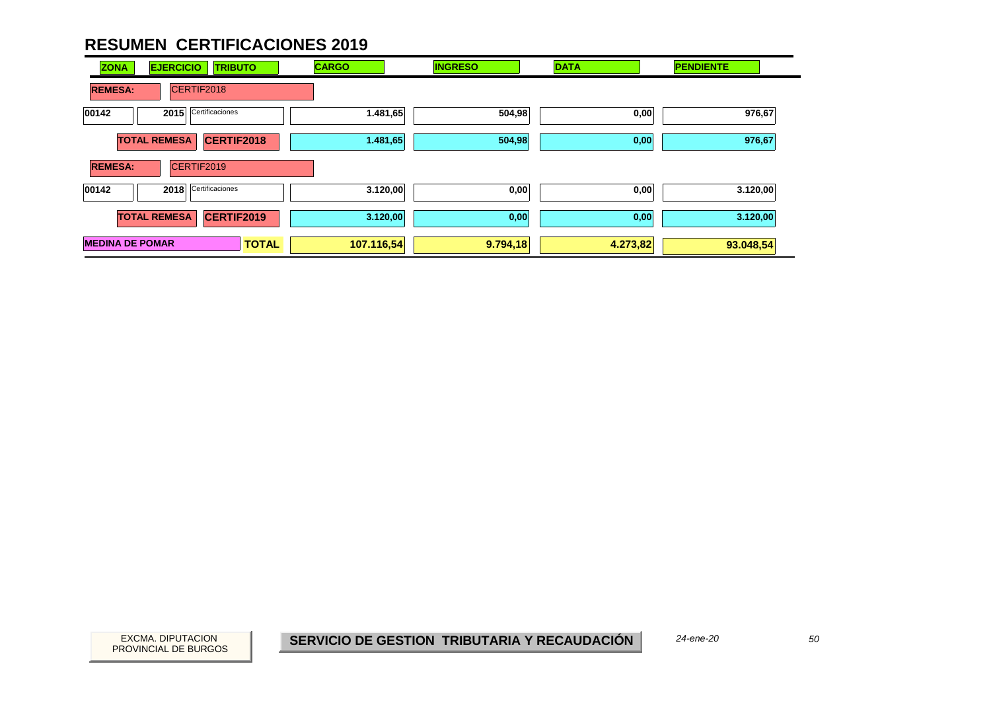| <b>ZONA</b>            | <b>EJERCICIO</b><br><b>TRIBUTO</b>       | <b>CARGO</b> | <b>INGRESO</b> | <b>DATA</b> | <b>PENDIENTE</b> |
|------------------------|------------------------------------------|--------------|----------------|-------------|------------------|
| <b>REMESA:</b>         | CERTIF2018                               |              |                |             |                  |
| 00142                  | Certificaciones<br>2015                  | 1.481,65     | 504,98         | 0,00        | 976,67           |
|                        | <b>TOTAL REMESA</b><br>CERTIF2018        | 1.481,65     | 504,98         | 0,00        | 976,67           |
| <b>REMESA:</b>         | CERTIF2019                               |              |                |             |                  |
| 00142                  | Certificaciones<br>2018                  | 3.120,00     | 0,00           | 0,00        | 3.120,00         |
|                        | <b>TOTAL REMESA</b><br><b>CERTIF2019</b> | 3.120,00     | 0,00           | 0,00        | 3.120,00         |
| <b>MEDINA DE POMAR</b> | <b>TOTAL</b>                             | 107.116,54   | 9.794,18       | 4.273,82    | 93.048,54        |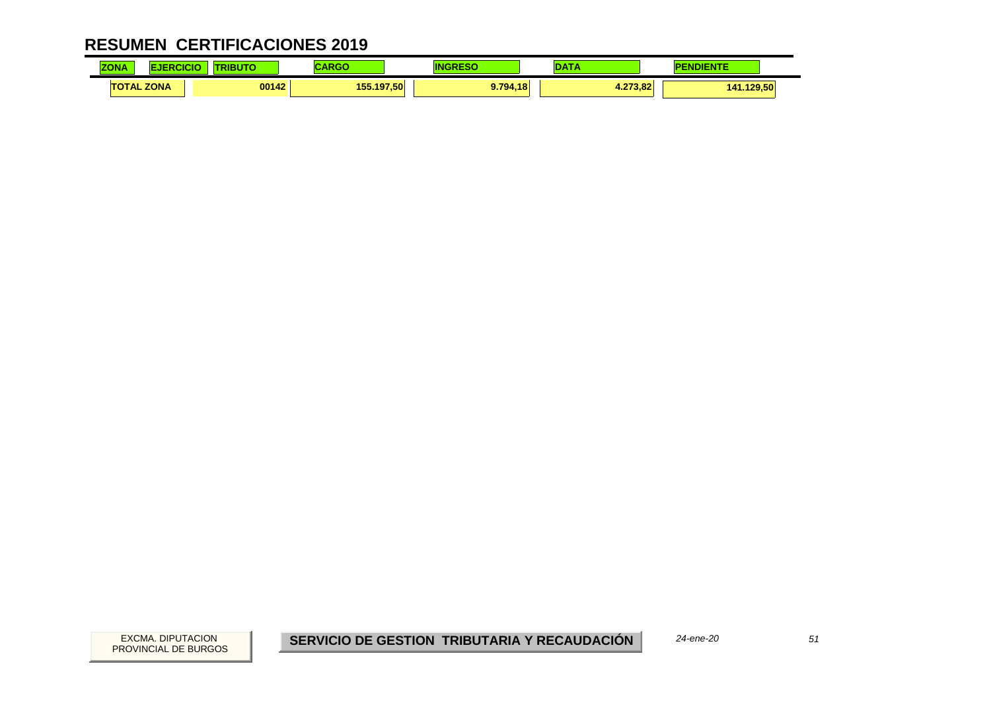| <b>ZONA</b>       | <b>Contract Contract</b> |            |          |              | <b>A STORY</b> |
|-------------------|--------------------------|------------|----------|--------------|----------------|
| <b>TOTAL ZONA</b> | 00142                    | 155.197.50 | 9.794.18 | .273.82<br>. | 141.129.50     |